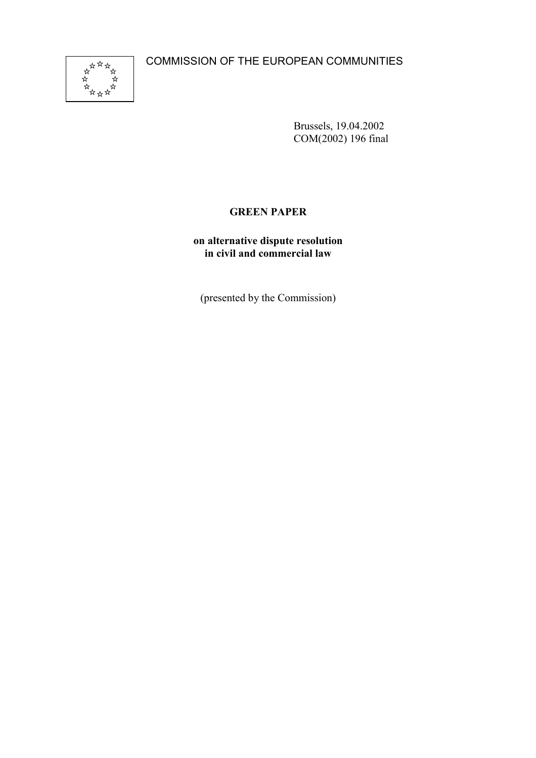COMMISSION OF THE EUROPEAN COMMUNITIES



Brussels, 19.04.2002 COM(2002) 196 final

# **GREEN PAPER**

**on alternative dispute resolution in civil and commercial law**

(presented by the Commission)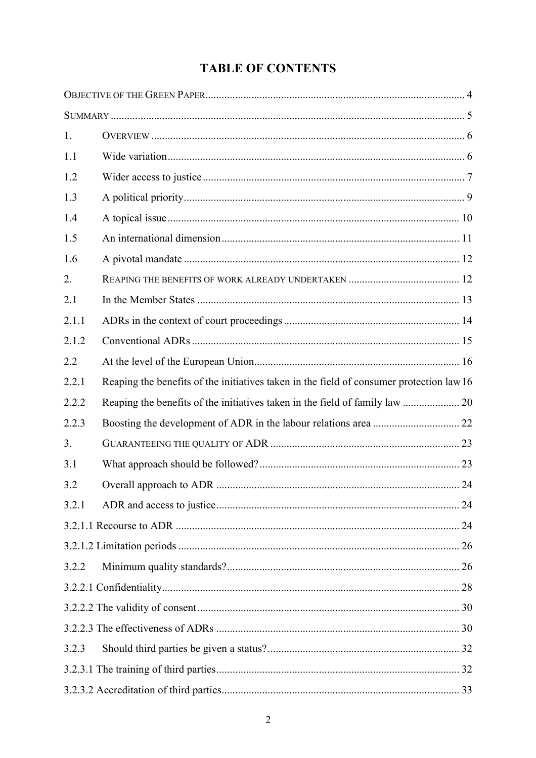# **TABLE OF CONTENTS**

| 1.    |                                                                                          |  |
|-------|------------------------------------------------------------------------------------------|--|
| 1.1   |                                                                                          |  |
| 1.2   |                                                                                          |  |
| 1.3   |                                                                                          |  |
| 1.4   |                                                                                          |  |
| 1.5   |                                                                                          |  |
| 1.6   |                                                                                          |  |
| 2.    |                                                                                          |  |
| 2.1   |                                                                                          |  |
| 2.1.1 |                                                                                          |  |
| 2.1.2 |                                                                                          |  |
| 2.2   |                                                                                          |  |
| 2.2.1 | Reaping the benefits of the initiatives taken in the field of consumer protection law 16 |  |
| 2.2.2 |                                                                                          |  |
| 2.2.3 |                                                                                          |  |
| 3.    |                                                                                          |  |
| 3.1   |                                                                                          |  |
| 3.2   |                                                                                          |  |
| 3.2.1 |                                                                                          |  |
|       |                                                                                          |  |
|       |                                                                                          |  |
| 3.2.2 |                                                                                          |  |
|       |                                                                                          |  |
|       |                                                                                          |  |
|       |                                                                                          |  |
| 3.2.3 |                                                                                          |  |
|       |                                                                                          |  |
|       |                                                                                          |  |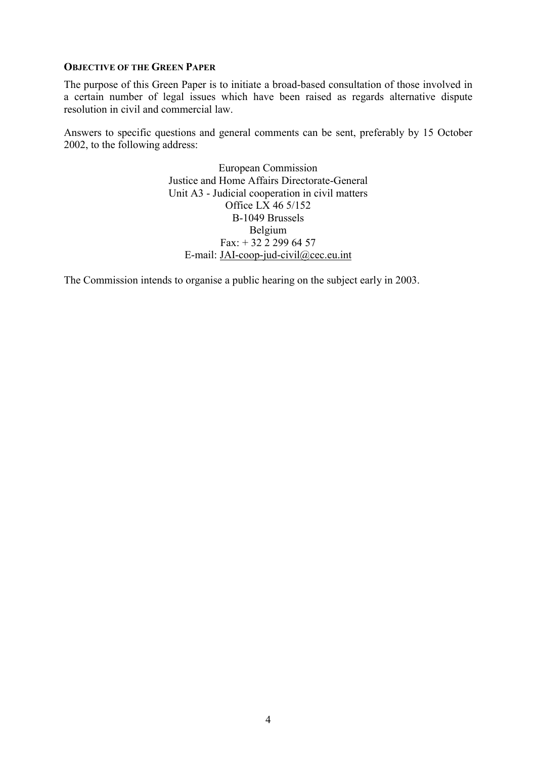#### **OBJECTIVE OF THE GREEN PAPER**

The purpose of this Green Paper is to initiate a broad-based consultation of those involved in a certain number of legal issues which have been raised as regards alternative dispute resolution in civil and commercial law.

Answers to specific questions and general comments can be sent, preferably by 15 October 2002, to the following address:

> European Commission Justice and Home Affairs Directorate-General Unit A3 - Judicial cooperation in civil matters Office LX 46 5/152 B-1049 Brussels Belgium Fax:  $+ 32$  2 299 64 57 E-mail: JAI-coop-jud-civil@cec.eu.int

The Commission intends to organise a public hearing on the subject early in 2003.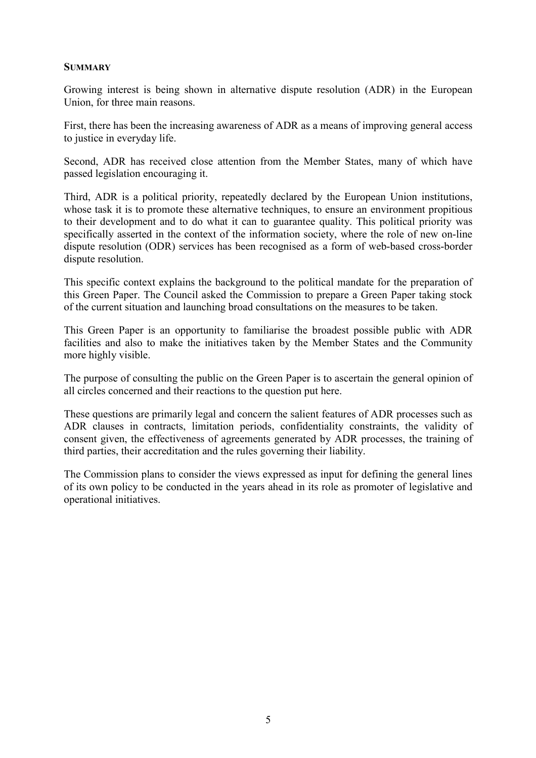#### **SUMMARY**

Growing interest is being shown in alternative dispute resolution (ADR) in the European Union, for three main reasons.

First, there has been the increasing awareness of ADR as a means of improving general access to justice in everyday life.

Second, ADR has received close attention from the Member States, many of which have passed legislation encouraging it.

Third, ADR is a political priority, repeatedly declared by the European Union institutions, whose task it is to promote these alternative techniques, to ensure an environment propitious to their development and to do what it can to guarantee quality. This political priority was specifically asserted in the context of the information society, where the role of new on-line dispute resolution (ODR) services has been recognised as a form of web-based cross-border dispute resolution.

This specific context explains the background to the political mandate for the preparation of this Green Paper. The Council asked the Commission to prepare a Green Paper taking stock of the current situation and launching broad consultations on the measures to be taken.

This Green Paper is an opportunity to familiarise the broadest possible public with ADR facilities and also to make the initiatives taken by the Member States and the Community more highly visible.

The purpose of consulting the public on the Green Paper is to ascertain the general opinion of all circles concerned and their reactions to the question put here.

These questions are primarily legal and concern the salient features of ADR processes such as ADR clauses in contracts, limitation periods, confidentiality constraints, the validity of consent given, the effectiveness of agreements generated by ADR processes, the training of third parties, their accreditation and the rules governing their liability.

The Commission plans to consider the views expressed as input for defining the general lines of its own policy to be conducted in the years ahead in its role as promoter of legislative and operational initiatives.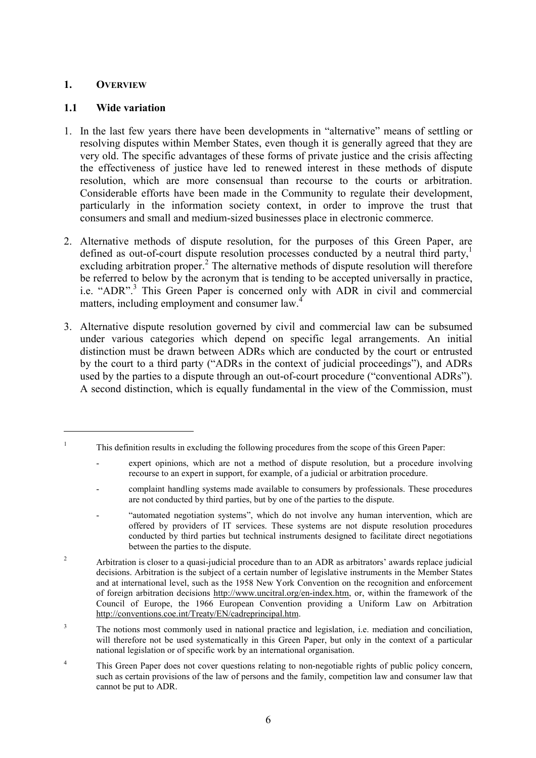#### **1. OVERVIEW**

 $\overline{a}$ 

#### **1.1 Wide variation**

- 1. In the last few years there have been developments in "alternative" means of settling or resolving disputes within Member States, even though it is generally agreed that they are very old. The specific advantages of these forms of private justice and the crisis affecting the effectiveness of justice have led to renewed interest in these methods of dispute resolution, which are more consensual than recourse to the courts or arbitration. Considerable efforts have been made in the Community to regulate their development, particularly in the information society context, in order to improve the trust that consumers and small and medium-sized businesses place in electronic commerce.
- 2. Alternative methods of dispute resolution, for the purposes of this Green Paper, are defined as out-of-court dispute resolution processes conducted by a neutral third party,<sup>1</sup> excluding arbitration proper.<sup>2</sup> The alternative methods of dispute resolution will therefore be referred to below by the acronym that is tending to be accepted universally in practice, i.e. "ADR".<sup>3</sup> This Green Paper is concerned only with ADR in civil and commercial matters, including employment and consumer law.<sup>4</sup>
- 3. Alternative dispute resolution governed by civil and commercial law can be subsumed under various categories which depend on specific legal arrangements. An initial distinction must be drawn between ADRs which are conducted by the court or entrusted by the court to a third party ("ADRs in the context of judicial proceedings"), and ADRs used by the parties to a dispute through an out-of-court procedure ("conventional ADRs"). A second distinction, which is equally fundamental in the view of the Commission, must

<sup>1</sup> This definition results in excluding the following procedures from the scope of this Green Paper:

expert opinions, which are not a method of dispute resolution, but a procedure involving recourse to an expert in support, for example, of a judicial or arbitration procedure.

<sup>-</sup> complaint handling systems made available to consumers by professionals. These procedures are not conducted by third parties, but by one of the parties to the dispute.

<sup>&</sup>quot;automated negotiation systems", which do not involve any human intervention, which are offered by providers of IT services. These systems are not dispute resolution procedures conducted by third parties but technical instruments designed to facilitate direct negotiations between the parties to the dispute.

<sup>&</sup>lt;sup>2</sup> Arbitration is closer to a quasi-judicial procedure than to an ADR as arbitrators' awards replace judicial decisions. Arbitration is the subject of a certain number of legislative instruments in the Member States and at international level, such as the 1958 New York Convention on the recognition and enforcement of foreign arbitration decisions http://www.uncitral.org/en-index.htm, or, within the framework of the Council of Europe, the 1966 European Convention providing a Uniform Law on Arbitration http://conventions.coe.int/Treaty/EN/cadreprincipal.htm.

<sup>&</sup>lt;sup>3</sup> The notions most commonly used in national practice and legislation, i.e. mediation and conciliation, will therefore not be used systematically in this Green Paper, but only in the context of a particular national legislation or of specific work by an international organisation.

<sup>&</sup>lt;sup>4</sup> This Green Paper does not cover questions relating to non-negotiable rights of public policy concern, such as certain provisions of the law of persons and the family, competition law and consumer law that cannot be put to ADR.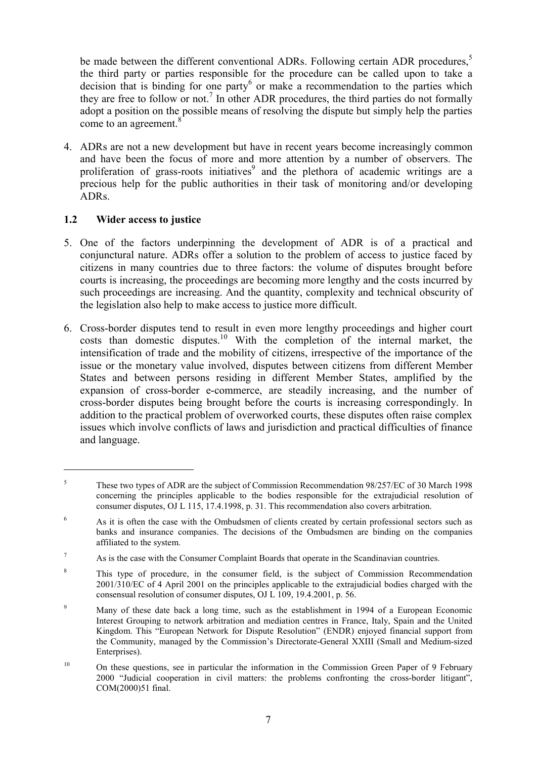be made between the different conventional ADRs. Following certain ADR procedures,<sup>5</sup> the third party or parties responsible for the procedure can be called upon to take a decision that is binding for one party or make a recommendation to the parties which they are free to follow or not.<sup>7</sup> In other ADR procedures, the third parties do not formally adopt a position on the possible means of resolving the dispute but simply help the parties come to an agreement.<sup>8</sup>

4. ADRs are not a new development but have in recent years become increasingly common and have been the focus of more and more attention by a number of observers. The proliferation of grass-roots initiatives<sup>9</sup> and the plethora of academic writings are a precious help for the public authorities in their task of monitoring and/or developing ADRs.

## **1.2 Wider access to justice**

- 5. One of the factors underpinning the development of ADR is of a practical and conjunctural nature. ADRs offer a solution to the problem of access to justice faced by citizens in many countries due to three factors: the volume of disputes brought before courts is increasing, the proceedings are becoming more lengthy and the costs incurred by such proceedings are increasing. And the quantity, complexity and technical obscurity of the legislation also help to make access to justice more difficult.
- 6. Cross-border disputes tend to result in even more lengthy proceedings and higher court  $\frac{10}{\pi}$  costs than domestic disputes.<sup>10</sup> With the completion of the internal market, the intensification of trade and the mobility of citizens, irrespective of the importance of the issue or the monetary value involved, disputes between citizens from different Member States and between persons residing in different Member States, amplified by the expansion of cross-border e-commerce, are steadily increasing, and the number of cross-border disputes being brought before the courts is increasing correspondingly. In addition to the practical problem of overworked courts, these disputes often raise complex issues which involve conflicts of laws and jurisdiction and practical difficulties of finance and language.

<sup>5</sup> These two types of ADR are the subject of Commission Recommendation 98/257/EC of 30 March 1998 concerning the principles applicable to the bodies responsible for the extrajudicial resolution of consumer disputes, OJ L 115, 17.4.1998, p. 31. This recommendation also covers arbitration.

<sup>&</sup>lt;sup>6</sup> As it is often the case with the Ombudsmen of clients created by certain professional sectors such as banks and insurance companies. The decisions of the Ombudsmen are binding on the companies affiliated to the system.

 $7 \text{ As is the case with the Consumer Complain Boards that operate in the Scandinavian countries.}$ 

<sup>&</sup>lt;sup>8</sup> This type of procedure, in the consumer field, is the subject of Commission Recommendation 2001/310/EC of 4 April 2001 on the principles applicable to the extrajudicial bodies charged with the consensual resolution of consumer disputes, OJ L 109, 19.4.2001, p. 56.

<sup>&</sup>lt;sup>9</sup> Many of these date back a long time, such as the establishment in 1994 of a European Economic Interest Grouping to network arbitration and mediation centres in France, Italy, Spain and the United Kingdom. This "European Network for Dispute Resolution" (ENDR) enjoyed financial support from the Community, managed by the Commission's Directorate-General XXIII (Small and Medium-sized Enterprises).

 $10$  On these questions, see in particular the information in the Commission Green Paper of 9 February 2000 "Judicial cooperation in civil matters: the problems confronting the cross-border litigant", COM(2000)51 final.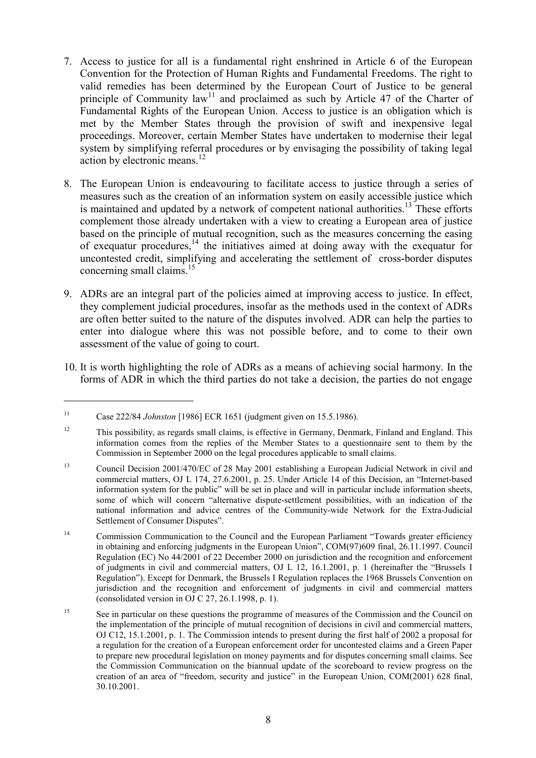- 7. Access to justice for all is a fundamental right enshrined in Article 6 of the European Convention for the Protection of Human Rights and Fundamental Freedoms. The right to valid remedies has been determined by the European Court of Justice to be general principle of Community  $law<sup>11</sup>$  and proclaimed as such by Article 47 of the Charter of Fundamental Rights of the European Union. Access to justice is an obligation which is met by the Member States through the provision of swift and inexpensive legal proceedings. Moreover, certain Member States have undertaken to modernise their legal system by simplifying referral procedures or by envisaging the possibility of taking legal action by electronic means. $12$
- 8. The European Union is endeavouring to facilitate access to justice through a series of measures such as the creation of an information system on easily accessible justice which is maintained and updated by a network of competent national authorities.<sup>13</sup> These efforts complement those already undertaken with a view to creating a European area of justice based on the principle of mutual recognition, such as the measures concerning the easing of exequatur procedures,  $\frac{14}{10}$  the initiatives aimed at doing away with the exequatur for uncontested credit, simplifying and accelerating the settlement of cross-border disputes concerning small claims.<sup>15</sup>
- 9. ADRs are an integral part of the policies aimed at improving access to justice. In effect, they complement judicial procedures, insofar as the methods used in the context of ADRs are often better suited to the nature of the disputes involved. ADR can help the parties to enter into dialogue where this was not possible before, and to come to their own assessment of the value of going to court.
- 10. It is worth highlighting the role of ADRs as a means of achieving social harmony. In the forms of ADR in which the third parties do not take a decision, the parties do not engage

<sup>11</sup> Case 222/84 *Johnston* [1986] ECR 1651 (judgment given on 15.5.1986).

<sup>&</sup>lt;sup>12</sup> This possibility, as regards small claims, is effective in Germany, Denmark, Finland and England. This information comes from the replies of the Member States to a questionnaire sent to them by the Commission in September 2000 on the legal procedures applicable to small claims.

<sup>&</sup>lt;sup>13</sup> Council Decision 2001/470/EC of 28 May 2001 establishing a European Judicial Network in civil and commercial matters, OJ L 174, 27.6.2001, p. 25. Under Article 14 of this Decision, an "Internet-based information system for the public" will be set in place and will in particular include information sheets, some of which will concern "alternative dispute-settlement possibilities, with an indication of the national information and advice centres of the Community-wide Network for the Extra-Judicial Settlement of Consumer Disputes".

<sup>&</sup>lt;sup>14</sup> Commission Communication to the Council and the European Parliament "Towards greater efficiency in obtaining and enforcing judgments in the European Union", COM(97)609 final, 26.11.1997. Council Regulation (EC) No 44/2001 of 22 December 2000 on jurisdiction and the recognition and enforcement of judgments in civil and commercial matters, OJ L 12, 16.1.2001, p. 1 (hereinafter the "Brussels I Regulation"). Except for Denmark, the Brussels I Regulation replaces the 1968 Brussels Convention on jurisdiction and the recognition and enforcement of judgments in civil and commercial matters (consolidated version in OJ C 27, 26.1.1998, p. 1).

<sup>&</sup>lt;sup>15</sup> See in particular on these questions the programme of measures of the Commission and the Council on the implementation of the principle of mutual recognition of decisions in civil and commercial matters, OJ C12, 15.1.2001, p. 1. The Commission intends to present during the first half of 2002 a proposal for a regulation for the creation of a European enforcement order for uncontested claims and a Green Paper to prepare new procedural legislation on money payments and for disputes concerning small claims. See the Commission Communication on the biannual update of the scoreboard to review progress on the creation of an area of "freedom, security and justice" in the European Union, COM(2001) 628 final, 30.10.2001.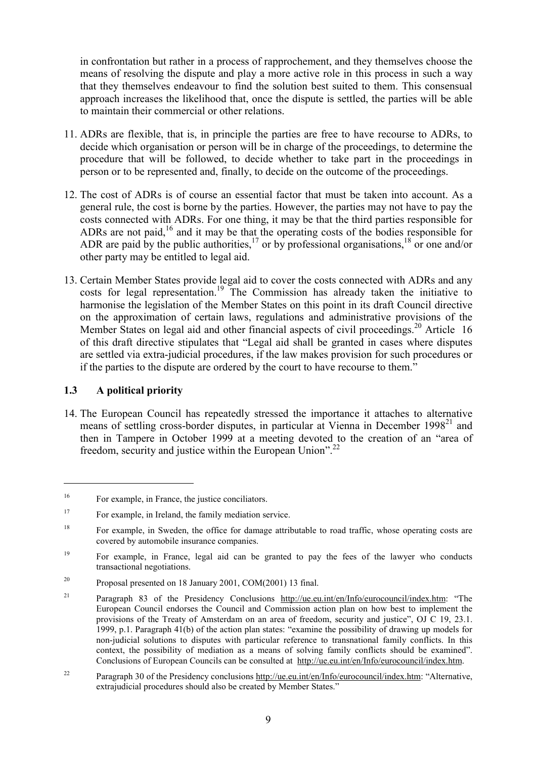in confrontation but rather in a process of rapprochement, and they themselves choose the means of resolving the dispute and play a more active role in this process in such a way that they themselves endeavour to find the solution best suited to them. This consensual approach increases the likelihood that, once the dispute is settled, the parties will be able to maintain their commercial or other relations.

- 11. ADRs are flexible, that is, in principle the parties are free to have recourse to ADRs, to decide which organisation or person will be in charge of the proceedings, to determine the procedure that will be followed, to decide whether to take part in the proceedings in person or to be represented and, finally, to decide on the outcome of the proceedings.
- 12. The cost of ADRs is of course an essential factor that must be taken into account. As a general rule, the cost is borne by the parties. However, the parties may not have to pay the costs connected with ADRs. For one thing, it may be that the third parties responsible for ADRs are not paid,<sup>16</sup> and it may be that the operating costs of the bodies responsible for ADR are paid by the public authorities,  $^{17}$  or by professional organisations,  $^{18}$  or one and/or other party may be entitled to legal aid.
- 13. Certain Member States provide legal aid to cover the costs connected with ADRs and any costs for legal representation.<sup>19</sup> The Commission has already taken the initiative to harmonise the legislation of the Member States on this point in its draft Council directive on the approximation of certain laws, regulations and administrative provisions of the Member States on legal aid and other financial aspects of civil proceedings.<sup>20</sup> Article 16 of this draft directive stipulates that "Legal aid shall be granted in cases where disputes are settled via extra-judicial procedures, if the law makes provision for such procedures or if the parties to the dispute are ordered by the court to have recourse to them."

#### **1.3 A political priority**

 $\overline{a}$ 

14. The European Council has repeatedly stressed the importance it attaches to alternative means of settling cross-border disputes, in particular at Vienna in December 1998<sup>21</sup> and then in Tampere in October 1999 at a meeting devoted to the creation of an "area of freedom, security and justice within the European Union".<sup>22</sup>

<sup>&</sup>lt;sup>16</sup> For example, in France, the justice conciliators.

<sup>&</sup>lt;sup>17</sup> For example, in Ireland, the family mediation service.

<sup>&</sup>lt;sup>18</sup> For example, in Sweden, the office for damage attributable to road traffic, whose operating costs are covered by automobile insurance companies.

<sup>&</sup>lt;sup>19</sup> For example, in France, legal aid can be granted to pay the fees of the lawyer who conducts transactional negotiations.

<sup>20</sup> Proposal presented on 18 January 2001, COM(2001) 13 final.

<sup>&</sup>lt;sup>21</sup> Paragraph 83 of the Presidency Conclusions http://ue.eu.int/en/Info/eurocouncil/index.htm: "The European Council endorses the Council and Commission action plan on how best to implement the provisions of the Treaty of Amsterdam on an area of freedom, security and justice", OJ C 19, 23.1. 1999, p.1. Paragraph 41(b) of the action plan states: "examine the possibility of drawing up models for non-judicial solutions to disputes with particular reference to transnational family conflicts. In this context, the possibility of mediation as a means of solving family conflicts should be examined". Conclusions of European Councils can be consulted at http://ue.eu.int/en/Info/eurocouncil/index.htm.

<sup>&</sup>lt;sup>22</sup> Paragraph 30 of the Presidency conclusions http://ue.eu.int/en/Info/eurocouncil/index.htm: "Alternative, extrajudicial procedures should also be created by Member States."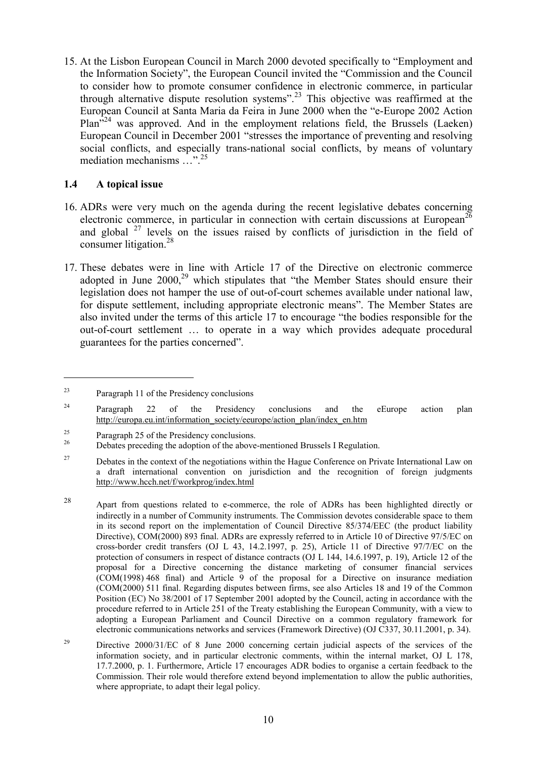15. At the Lisbon European Council in March 2000 devoted specifically to "Employment and the Information Society", the European Council invited the "Commission and the Council to consider how to promote consumer confidence in electronic commerce, in particular through alternative dispute resolution systems".23 This objective was reaffirmed at the European Council at Santa Maria da Feira in June 2000 when the "e-Europe 2002 Action Plan<sup>324</sup> was approved. And in the employment relations field, the Brussels (Laeken) European Council in December 2001 "stresses the importance of preventing and resolving social conflicts, and especially trans-national social conflicts, by means of voluntary mediation mechanisms …".<sup>25</sup>

#### **1.4 A topical issue**

- 16. ADRs were very much on the agenda during the recent legislative debates concerning electronic commerce, in particular in connection with certain discussions at European<sup>26</sup> and global <sup>27</sup> levels on the issues raised by conflicts of jurisdiction in the field of consumer litigation.<sup>28</sup>
- 17. These debates were in line with Article 17 of the Directive on electronic commerce adopted in June  $2000$ ,<sup>29</sup> which stipulates that "the Member States should ensure their legislation does not hamper the use of out-of-court schemes available under national law, for dispute settlement, including appropriate electronic means". The Member States are also invited under the terms of this article 17 to encourage "the bodies responsible for the out-of-court settlement … to operate in a way which provides adequate procedural guarantees for the parties concerned".

<sup>23</sup> Paragraph 11 of the Presidency conclusions

<sup>&</sup>lt;sup>24</sup> Paragraph 22 of the Presidency conclusions and the eEurope action plan http://europa.eu.int/information\_society/eeurope/action\_plan/index\_en.htm

<sup>&</sup>lt;sup>25</sup> Paragraph 25 of the Presidency conclusions.<br><sup>26</sup> Debates preceding the adoption of the above-mentioned Brussels I Regulation.

<sup>&</sup>lt;sup>27</sup> Debates in the context of the negotiations within the Hague Conference on Private International Law on a draft international convention on jurisdiction and the recognition of foreign judgments http://www.hcch.net/f/workprog/index.html

<sup>28</sup> Apart from questions related to e-commerce, the role of ADRs has been highlighted directly or indirectly in a number of Community instruments. The Commission devotes considerable space to them in its second report on the implementation of Council Directive 85/374/EEC (the product liability Directive), COM(2000) 893 final. ADRs are expressly referred to in Article 10 of Directive 97/5/EC on cross-border credit transfers (OJ L 43, 14.2.1997, p. 25), Article 11 of Directive 97/7/EC on the protection of consumers in respect of distance contracts (OJ L 144, 14.6.1997, p. 19), Article 12 of the proposal for a Directive concerning the distance marketing of consumer financial services (COM(1998) 468 final) and Article 9 of the proposal for a Directive on insurance mediation (COM(2000) 511 final. Regarding disputes between firms, see also Articles 18 and 19 of the Common Position (EC) No 38/2001 of 17 September 2001 adopted by the Council, acting in accordance with the procedure referred to in Article 251 of the Treaty establishing the European Community, with a view to adopting a European Parliament and Council Directive on a common regulatory framework for electronic communications networks and services (Framework Directive) (OJ C337, 30.11.2001, p. 34).

<sup>&</sup>lt;sup>29</sup> Directive 2000/31/EC of 8 June 2000 concerning certain judicial aspects of the services of the information society, and in particular electronic comments, within the internal market, OJ L 178, 17.7.2000, p. 1. Furthermore, Article 17 encourages ADR bodies to organise a certain feedback to the Commission. Their role would therefore extend beyond implementation to allow the public authorities, where appropriate, to adapt their legal policy.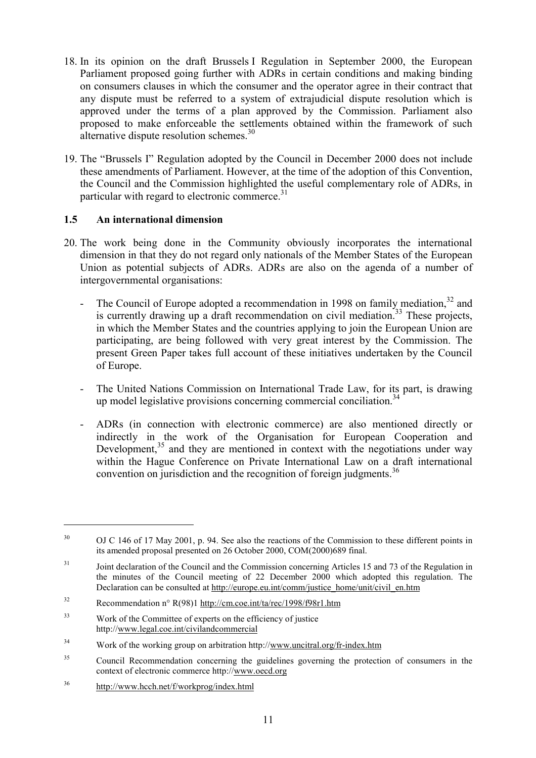- 18. In its opinion on the draft Brussels I Regulation in September 2000, the European Parliament proposed going further with ADRs in certain conditions and making binding on consumers clauses in which the consumer and the operator agree in their contract that any dispute must be referred to a system of extrajudicial dispute resolution which is approved under the terms of a plan approved by the Commission. Parliament also proposed to make enforceable the settlements obtained within the framework of such alternative dispute resolution schemes.<sup>30</sup>
- 19. The "Brussels I" Regulation adopted by the Council in December 2000 does not include these amendments of Parliament. However, at the time of the adoption of this Convention, the Council and the Commission highlighted the useful complementary role of ADRs, in particular with regard to electronic commerce. $31$

#### **1.5 An international dimension**

- 20. The work being done in the Community obviously incorporates the international dimension in that they do not regard only nationals of the Member States of the European Union as potential subjects of ADRs. ADRs are also on the agenda of a number of intergovernmental organisations:
	- The Council of Europe adopted a recommendation in 1998 on family mediation,  $32$  and is currently drawing up a draft recommendation on civil mediation.<sup>33</sup> These projects, in which the Member States and the countries applying to join the European Union are participating, are being followed with very great interest by the Commission. The present Green Paper takes full account of these initiatives undertaken by the Council of Europe.
	- The United Nations Commission on International Trade Law, for its part, is drawing up model legislative provisions concerning commercial conciliation.<sup>34</sup>
	- ADRs (in connection with electronic commerce) are also mentioned directly or indirectly in the work of the Organisation for European Cooperation and Development, $35$  and they are mentioned in context with the negotiations under way within the Hague Conference on Private International Law on a draft international convention on jurisdiction and the recognition of foreign judgments.<sup>36</sup>

<sup>36</sup> http://www.hcch.net/f/workprog/index.html

<sup>&</sup>lt;sup>30</sup> OJ C 146 of 17 May 2001, p. 94. See also the reactions of the Commission to these different points in its amended proposal presented on 26 October 2000, COM(2000)689 final.

<sup>&</sup>lt;sup>31</sup> Joint declaration of the Council and the Commission concerning Articles 15 and 73 of the Regulation in the minutes of the Council meeting of 22 December 2000 which adopted this regulation. The Declaration can be consulted at http://europe.eu.int/comm/justice\_home/unit/civil\_en.htm

<sup>32</sup> Recommendation n° R(98)1 http://cm.coe.int/ta/rec/1998/f98r1.htm

<sup>33</sup> Work of the Committee of experts on the efficiency of justice http://www.legal.coe.int/civilandcommercial

<sup>34</sup> Work of the working group on arbitration http://www.uncitral.org/fr-index.htm

<sup>&</sup>lt;sup>35</sup> Council Recommendation concerning the guidelines governing the protection of consumers in the context of electronic commerce http://www.oecd.org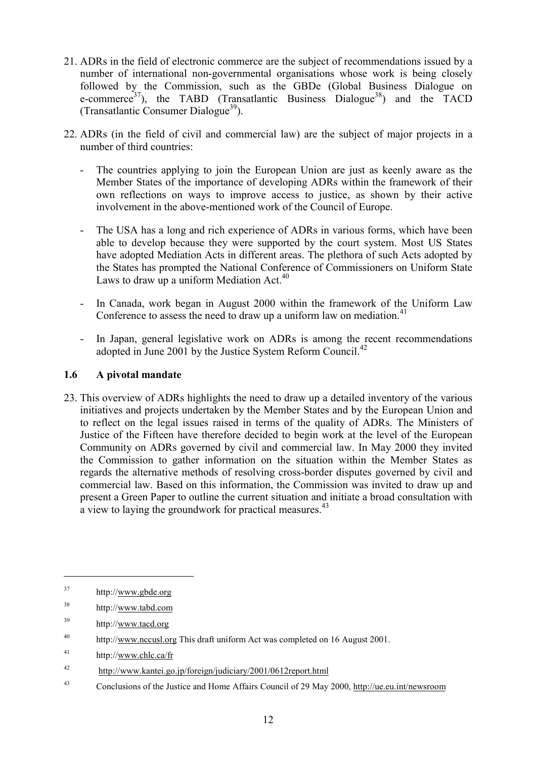- 21. ADRs in the field of electronic commerce are the subject of recommendations issued by a number of international non-governmental organisations whose work is being closely followed by the Commission, such as the GBDe (Global Business Dialogue on e-commerce<sup>37</sup>), the TABD (Transatlantic Business Dialogue<sup>38</sup>) and the TACD (Transatlantic Consumer Dialogue<sup>39</sup>).
- 22. ADRs (in the field of civil and commercial law) are the subject of major projects in a number of third countries:
	- The countries applying to join the European Union are just as keenly aware as the Member States of the importance of developing ADRs within the framework of their own reflections on ways to improve access to justice, as shown by their active involvement in the above-mentioned work of the Council of Europe.
	- The USA has a long and rich experience of ADRs in various forms, which have been able to develop because they were supported by the court system. Most US States have adopted Mediation Acts in different areas. The plethora of such Acts adopted by the States has prompted the National Conference of Commissioners on Uniform State Laws to draw up a uniform Mediation Act. $40$
	- In Canada, work began in August 2000 within the framework of the Uniform Law Conference to assess the need to draw up a uniform law on mediation.<sup>41</sup>
	- In Japan, general legislative work on ADRs is among the recent recommendations adopted in June 2001 by the Justice System Reform Council.<sup>42</sup>

#### **1.6 A pivotal mandate**

23. This overview of ADRs highlights the need to draw up a detailed inventory of the various initiatives and projects undertaken by the Member States and by the European Union and to reflect on the legal issues raised in terms of the quality of ADRs. The Ministers of Justice of the Fifteen have therefore decided to begin work at the level of the European Community on ADRs governed by civil and commercial law. In May 2000 they invited the Commission to gather information on the situation within the Member States as regards the alternative methods of resolving cross-border disputes governed by civil and commercial law. Based on this information, the Commission was invited to draw up and present a Green Paper to outline the current situation and initiate a broad consultation with a view to laying the groundwork for practical measures.<sup>43</sup>

<sup>37</sup> http://www.gbde.org

<sup>38</sup> http://www.tabd.com

<sup>39</sup> http://www.tacd.org

<sup>&</sup>lt;sup>40</sup> http://www.nccusl.org This draft uniform Act was completed on 16 August 2001.

<sup>41</sup> http://www.chlc.ca/fr

<sup>42</sup> http://www.kantei.go.jp/foreign/judiciary/2001/0612report.html

<sup>43</sup> Conclusions of the Justice and Home Affairs Council of 29 May 2000, http://ue.eu.int/newsroom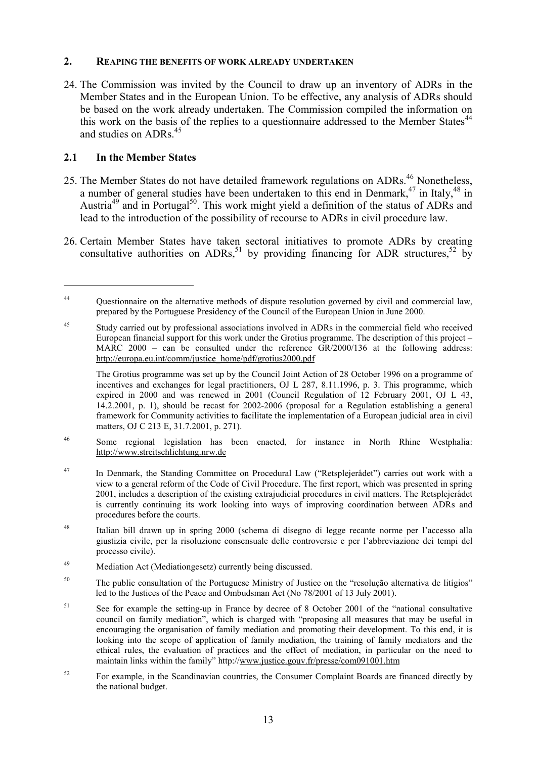#### **2. REAPING THE BENEFITS OF WORK ALREADY UNDERTAKEN**

24. The Commission was invited by the Council to draw up an inventory of ADRs in the Member States and in the European Union. To be effective, any analysis of ADRs should be based on the work already undertaken. The Commission compiled the information on this work on the basis of the replies to a questionnaire addressed to the Member States<sup>44</sup> and studies on ADRs.<sup>45</sup>

#### **2.1 In the Member States**

- 25. The Member States do not have detailed framework regulations on ADRs.<sup>46</sup> Nonetheless, a number of general studies have been undertaken to this end in Denmark, $47$  in Italy, $48$  in Austria<sup>49</sup> and in Portugal<sup>50</sup>. This work might yield a definition of the status of ADRs and lead to the introduction of the possibility of recourse to ADRs in civil procedure law.
- 26. Certain Member States have taken sectoral initiatives to promote ADRs by creating consultative authorities on ADRs, <sup>51</sup> by providing financing for ADR structures, <sup>52</sup> by

- <sup>46</sup> Some regional legislation has been enacted, for instance in North Rhine Westphalia: http://www.streitschlichtung.nrw.de
- <sup>47</sup> In Denmark, the Standing Committee on Procedural Law ("Retsplejerådet") carries out work with a view to a general reform of the Code of Civil Procedure. The first report, which was presented in spring 2001, includes a description of the existing extrajudicial procedures in civil matters. The Retsplejerådet is currently continuing its work looking into ways of improving coordination between ADRs and procedures before the courts.
- <sup>48</sup> Italian bill drawn up in spring 2000 (schema di disegno di legge recante norme per l'accesso alla giustizia civile, per la risoluzione consensuale delle controversie e per l'abbreviazione dei tempi del processo civile).
- <sup>49</sup> Mediation Act (Mediationgesetz) currently being discussed.
- <sup>50</sup> The public consultation of the Portuguese Ministry of Justice on the "resolução alternativa de litígios" led to the Justices of the Peace and Ombudsman Act (No 78/2001 of 13 July 2001).
- <sup>51</sup> See for example the setting-up in France by decree of 8 October 2001 of the "national consultative" council on family mediation", which is charged with "proposing all measures that may be useful in encouraging the organisation of family mediation and promoting their development. To this end, it is looking into the scope of application of family mediation, the training of family mediators and the ethical rules, the evaluation of practices and the effect of mediation, in particular on the need to maintain links within the family" http://www.justice.gouv.fr/presse/com091001.htm
- <sup>52</sup> For example, in the Scandinavian countries, the Consumer Complaint Boards are financed directly by the national budget.

<sup>&</sup>lt;sup>44</sup> Ouestionnaire on the alternative methods of dispute resolution governed by civil and commercial law, prepared by the Portuguese Presidency of the Council of the European Union in June 2000.

<sup>&</sup>lt;sup>45</sup> Study carried out by professional associations involved in ADRs in the commercial field who received European financial support for this work under the Grotius programme. The description of this project – MARC 2000 – can be consulted under the reference GR/2000/136 at the following address: http://europa.eu.int/comm/justice\_home/pdf/grotius2000.pdf

The Grotius programme was set up by the Council Joint Action of 28 October 1996 on a programme of incentives and exchanges for legal practitioners, OJ L 287, 8.11.1996, p. 3. This programme, which expired in 2000 and was renewed in 2001 (Council Regulation of 12 February 2001, OJ L 43, 14.2.2001, p. 1), should be recast for 2002-2006 (proposal for a Regulation establishing a general framework for Community activities to facilitate the implementation of a European judicial area in civil matters, OJ C 213 E, 31.7.2001, p. 271).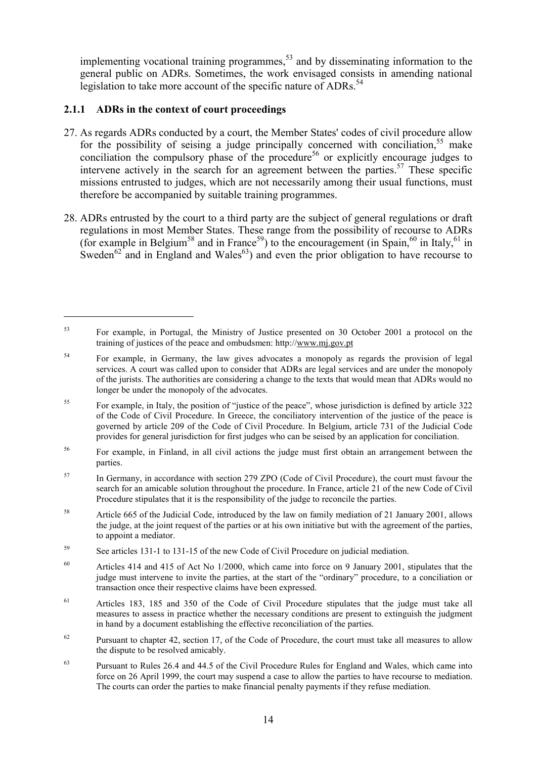implementing vocational training programmes, $53$  and by disseminating information to the general public on ADRs. Sometimes, the work envisaged consists in amending national legislation to take more account of the specific nature of  $\triangle$ DRs.<sup>54</sup>

## **2.1.1 ADRs in the context of court proceedings**

- 27. As regards ADRs conducted by a court, the Member States' codes of civil procedure allow for the possibility of seising a judge principally concerned with conciliation,  $55$  make conciliation the compulsory phase of the procedure<sup>56</sup> or explicitly encourage judges to intervene actively in the search for an agreement between the parties.<sup>57</sup> These specific missions entrusted to judges, which are not necessarily among their usual functions, must therefore be accompanied by suitable training programmes.
- 28. ADRs entrusted by the court to a third party are the subject of general regulations or draft regulations in most Member States. These range from the possibility of recourse to ADRs (for example in Belgium<sup>58</sup> and in France<sup>59</sup>) to the encouragement (in Spain,<sup>60</sup> in Italy,<sup>61</sup> in Sweden<sup>62</sup> and in England and Wales<sup>63</sup>) and even the prior obligation to have recourse to

<sup>53</sup> For example, in Portugal, the Ministry of Justice presented on 30 October 2001 a protocol on the training of justices of the peace and ombudsmen: http://www.mj.gov.pt

<sup>&</sup>lt;sup>54</sup> For example, in Germany, the law gives advocates a monopoly as regards the provision of legal services. A court was called upon to consider that ADRs are legal services and are under the monopoly of the jurists. The authorities are considering a change to the texts that would mean that ADRs would no longer be under the monopoly of the advocates.

<sup>55</sup> For example, in Italy, the position of "justice of the peace", whose jurisdiction is defined by article 322 of the Code of Civil Procedure. In Greece, the conciliatory intervention of the justice of the peace is governed by article 209 of the Code of Civil Procedure. In Belgium, article 731 of the Judicial Code provides for general jurisdiction for first judges who can be seised by an application for conciliation.

<sup>56</sup> For example, in Finland, in all civil actions the judge must first obtain an arrangement between the parties.

<sup>&</sup>lt;sup>57</sup> In Germany, in accordance with section 279 ZPO (Code of Civil Procedure), the court must favour the search for an amicable solution throughout the procedure. In France, article 21 of the new Code of Civil Procedure stipulates that it is the responsibility of the judge to reconcile the parties.

<sup>58</sup> Article 665 of the Judicial Code, introduced by the law on family mediation of 21 January 2001, allows the judge, at the joint request of the parties or at his own initiative but with the agreement of the parties, to appoint a mediator.

<sup>59</sup> See articles 131-1 to 131-15 of the new Code of Civil Procedure on judicial mediation.

 $60$  Articles 414 and 415 of Act No 1/2000, which came into force on 9 January 2001, stipulates that the judge must intervene to invite the parties, at the start of the "ordinary" procedure, to a conciliation or transaction once their respective claims have been expressed.

<sup>&</sup>lt;sup>61</sup> Articles 183, 185 and 350 of the Code of Civil Procedure stipulates that the judge must take all measures to assess in practice whether the necessary conditions are present to extinguish the judgment in hand by a document establishing the effective reconciliation of the parties.

<sup>&</sup>lt;sup>62</sup> Pursuant to chapter 42, section 17, of the Code of Procedure, the court must take all measures to allow the dispute to be resolved amicably.

 $63$  Pursuant to Rules 26.4 and 44.5 of the Civil Procedure Rules for England and Wales, which came into force on 26 April 1999, the court may suspend a case to allow the parties to have recourse to mediation. The courts can order the parties to make financial penalty payments if they refuse mediation.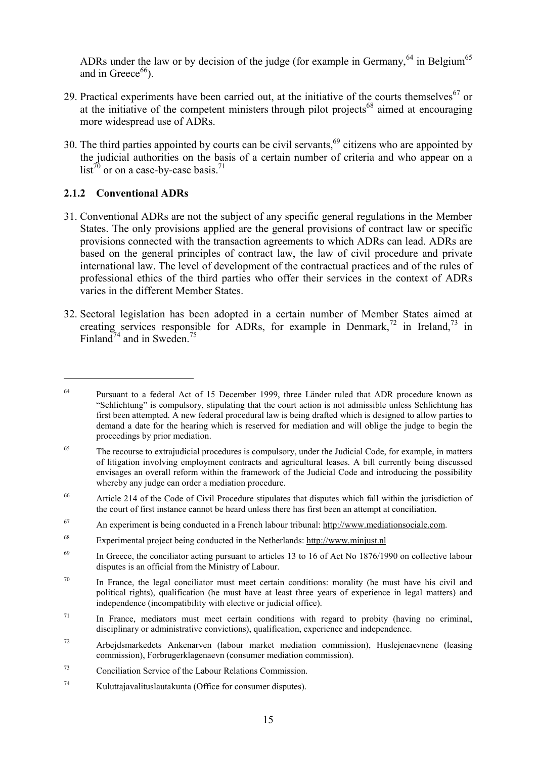ADRs under the law or by decision of the judge (for example in Germany,  $64$  in Belgium<sup>65</sup> and in Greece $66$ ).

- 29. Practical experiments have been carried out, at the initiative of the courts themselves<sup>67</sup> or at the initiative of the competent ministers through pilot projects<sup>68</sup> aimed at encouraging more widespread use of ADRs.
- 30. The third parties appointed by courts can be civil servants, $69$  citizens who are appointed by the judicial authorities on the basis of a certain number of criteria and who appear on a  $list^{70}$  or on a case-by-case basis.<sup>71</sup>

## **2.1.2 Conventional ADRs**

- 31. Conventional ADRs are not the subject of any specific general regulations in the Member States. The only provisions applied are the general provisions of contract law or specific provisions connected with the transaction agreements to which ADRs can lead. ADRs are based on the general principles of contract law, the law of civil procedure and private international law. The level of development of the contractual practices and of the rules of professional ethics of the third parties who offer their services in the context of ADRs varies in the different Member States.
- 32. Sectoral legislation has been adopted in a certain number of Member States aimed at creating services responsible for ADRs, for example in Denmark,<sup>72</sup> in Ireland,<sup>73</sup> in Finland<sup>74</sup> and in Sweden.<sup>75</sup>

<sup>&</sup>lt;sup>64</sup> Pursuant to a federal Act of 15 December 1999, three Länder ruled that ADR procedure known as "Schlichtung" is compulsory, stipulating that the court action is not admissible unless Schlichtung has first been attempted. A new federal procedural law is being drafted which is designed to allow parties to demand a date for the hearing which is reserved for mediation and will oblige the judge to begin the proceedings by prior mediation.

<sup>&</sup>lt;sup>65</sup> The recourse to extrajudicial procedures is compulsory, under the Judicial Code, for example, in matters of litigation involving employment contracts and agricultural leases. A bill currently being discussed envisages an overall reform within the framework of the Judicial Code and introducing the possibility whereby any judge can order a mediation procedure.

<sup>&</sup>lt;sup>66</sup> Article 214 of the Code of Civil Procedure stipulates that disputes which fall within the jurisdiction of the court of first instance cannot be heard unless there has first been an attempt at conciliation.

<sup>67</sup> An experiment is being conducted in a French labour tribunal: http://www.mediationsociale.com.

<sup>68</sup> Experimental project being conducted in the Netherlands: http://www.minjust.nl

<sup>&</sup>lt;sup>69</sup> In Greece, the conciliator acting pursuant to articles 13 to 16 of Act No 1876/1990 on collective labour disputes is an official from the Ministry of Labour.

 $70$  In France, the legal conciliator must meet certain conditions: morality (he must have his civil and political rights), qualification (he must have at least three years of experience in legal matters) and independence (incompatibility with elective or judicial office).

 $71$  In France, mediators must meet certain conditions with regard to probity (having no criminal, disciplinary or administrative convictions), qualification, experience and independence.

 $72$  Arbejdsmarkedets Ankenarven (labour market mediation commission), Huslejenaevnene (leasing commission), Forbrugerklagenaevn (consumer mediation commission).

<sup>73</sup> Conciliation Service of the Labour Relations Commission.

<sup>74</sup> Kuluttajavalituslautakunta (Office for consumer disputes).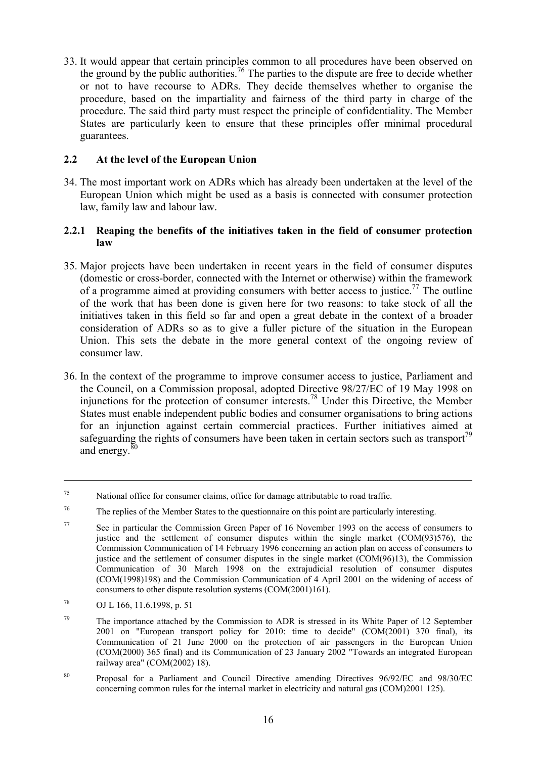33. It would appear that certain principles common to all procedures have been observed on the ground by the public authorities.<sup>76</sup> The parties to the dispute are free to decide whether or not to have recourse to ADRs. They decide themselves whether to organise the procedure, based on the impartiality and fairness of the third party in charge of the procedure. The said third party must respect the principle of confidentiality. The Member States are particularly keen to ensure that these principles offer minimal procedural guarantees.

#### **2.2 At the level of the European Union**

34. The most important work on ADRs which has already been undertaken at the level of the European Union which might be used as a basis is connected with consumer protection law, family law and labour law.

#### **2.2.1 Reaping the benefits of the initiatives taken in the field of consumer protection law**

- 35. Major projects have been undertaken in recent years in the field of consumer disputes (domestic or cross-border, connected with the Internet or otherwise) within the framework of a programme aimed at providing consumers with better access to justice.<sup>77</sup> The outline of the work that has been done is given here for two reasons: to take stock of all the initiatives taken in this field so far and open a great debate in the context of a broader consideration of ADRs so as to give a fuller picture of the situation in the European Union. This sets the debate in the more general context of the ongoing review of consumer law.
- 36. In the context of the programme to improve consumer access to justice, Parliament and the Council, on a Commission proposal, adopted Directive 98/27/EC of 19 May 1998 on injunctions for the protection of consumer interests.78 Under this Directive, the Member States must enable independent public bodies and consumer organisations to bring actions for an injunction against certain commercial practices. Further initiatives aimed at safeguarding the rights of consumers have been taken in certain sectors such as transport<sup>79</sup> and energy.<sup>80</sup>

<sup>75</sup> National office for consumer claims, office for damage attributable to road traffic.

<sup>76</sup> The replies of the Member States to the questionnaire on this point are particularly interesting.

<sup>77</sup> See in particular the Commission Green Paper of 16 November 1993 on the access of consumers to justice and the settlement of consumer disputes within the single market (COM(93)576), the Commission Communication of 14 February 1996 concerning an action plan on access of consumers to justice and the settlement of consumer disputes in the single market (COM(96)13), the Commission Communication of 30 March 1998 on the extrajudicial resolution of consumer disputes (COM(1998)198) and the Commission Communication of 4 April 2001 on the widening of access of consumers to other dispute resolution systems (COM(2001)161).

<sup>78</sup> OJ L 166, 11.6.1998, p. 51

 $79$  The importance attached by the Commission to ADR is stressed in its White Paper of 12 September 2001 on "European transport policy for 2010: time to decide" (COM(2001) 370 final), its Communication of 21 June 2000 on the protection of air passengers in the European Union (COM(2000) 365 final) and its Communication of 23 January 2002 "Towards an integrated European railway area" (COM(2002) 18).

<sup>80</sup> Proposal for a Parliament and Council Directive amending Directives 96/92/EC and 98/30/EC concerning common rules for the internal market in electricity and natural gas (COM)2001 125).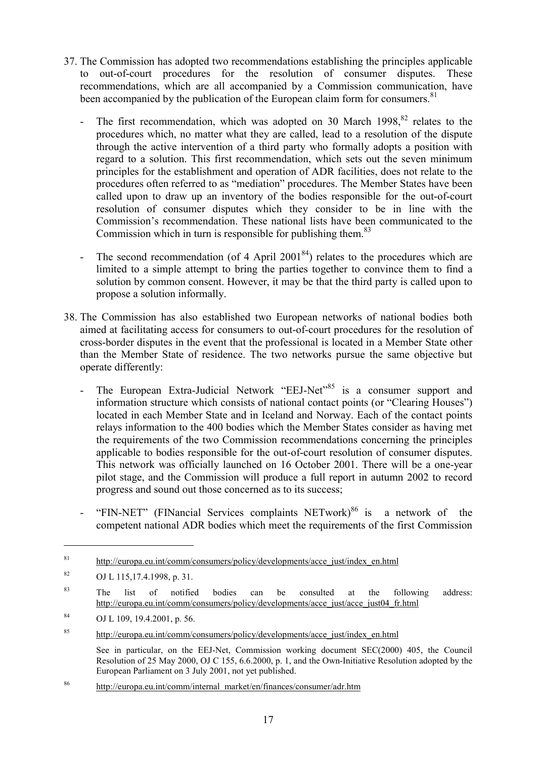- 37. The Commission has adopted two recommendations establishing the principles applicable to out-of-court procedures for the resolution of consumer disputes. These recommendations, which are all accompanied by a Commission communication, have been accompanied by the publication of the European claim form for consumers.<sup>81</sup>
	- The first recommendation, which was adopted on 30 March  $1998$ ,  $82$  relates to the procedures which, no matter what they are called, lead to a resolution of the dispute through the active intervention of a third party who formally adopts a position with regard to a solution. This first recommendation, which sets out the seven minimum principles for the establishment and operation of ADR facilities, does not relate to the procedures often referred to as "mediation" procedures. The Member States have been called upon to draw up an inventory of the bodies responsible for the out-of-court resolution of consumer disputes which they consider to be in line with the Commission's recommendation. These national lists have been communicated to the Commission which in turn is responsible for publishing them. $83$
	- The second recommendation (of 4 April  $2001^{84}$ ) relates to the procedures which are limited to a simple attempt to bring the parties together to convince them to find a solution by common consent. However, it may be that the third party is called upon to propose a solution informally.
- 38. The Commission has also established two European networks of national bodies both aimed at facilitating access for consumers to out-of-court procedures for the resolution of cross-border disputes in the event that the professional is located in a Member State other than the Member State of residence. The two networks pursue the same objective but operate differently:
	- The European Extra-Judicial Network "EEJ-Net"<sup>85</sup> is a consumer support and information structure which consists of national contact points (or "Clearing Houses") located in each Member State and in Iceland and Norway. Each of the contact points relays information to the 400 bodies which the Member States consider as having met the requirements of the two Commission recommendations concerning the principles applicable to bodies responsible for the out-of-court resolution of consumer disputes. This network was officially launched on 16 October 2001. There will be a one-year pilot stage, and the Commission will produce a full report in autumn 2002 to record progress and sound out those concerned as to its success;
	- "FIN-NET" (FINancial Services complaints  $NETwork$ )<sup>86</sup> is a network of the competent national ADR bodies which meet the requirements of the first Commission

<sup>&</sup>lt;sup>81</sup> http://europa.eu.int/comm/consumers/policy/developments/acce\_just/index\_en.html

<sup>82</sup> OJ L 115,17.4.1998, p. 31.

<sup>&</sup>lt;sup>83</sup> The list of notified bodies can be consulted at the following address: http://europa.eu.int/comm/consumers/policy/developments/acce\_just/acce\_just04\_fr.html

<sup>84</sup> OJ L 109, 19.4.2001, p. 56.

<sup>85</sup> http://europa.eu.int/comm/consumers/policy/developments/acce\_just/index\_en.html

See in particular, on the EEJ-Net, Commission working document SEC(2000) 405, the Council Resolution of 25 May 2000, OJ C 155, 6.6.2000, p. 1, and the Own-Initiative Resolution adopted by the European Parliament on 3 July 2001, not yet published.

<sup>86</sup> http://europa.eu.int/comm/internal\_market/en/finances/consumer/adr.htm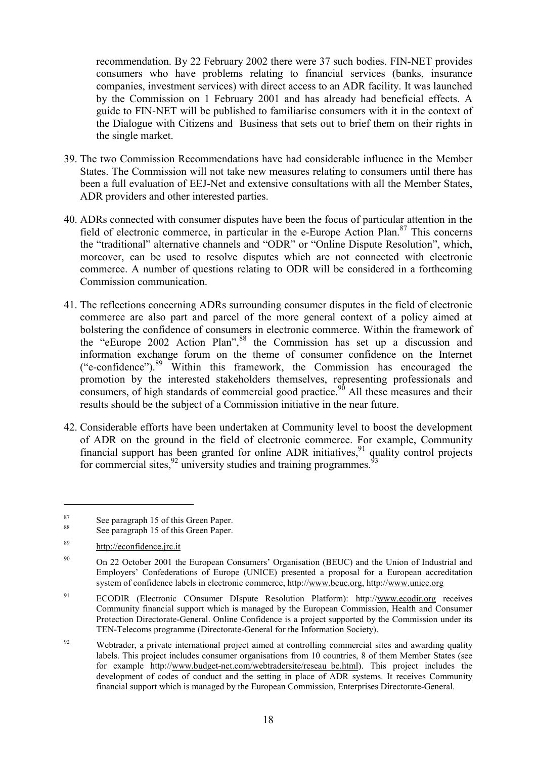recommendation. By 22 February 2002 there were 37 such bodies. FIN-NET provides consumers who have problems relating to financial services (banks, insurance companies, investment services) with direct access to an ADR facility. It was launched by the Commission on 1 February 2001 and has already had beneficial effects. A guide to FIN-NET will be published to familiarise consumers with it in the context of the Dialogue with Citizens and Business that sets out to brief them on their rights in the single market.

- 39. The two Commission Recommendations have had considerable influence in the Member States. The Commission will not take new measures relating to consumers until there has been a full evaluation of EEJ-Net and extensive consultations with all the Member States, ADR providers and other interested parties.
- 40. ADRs connected with consumer disputes have been the focus of particular attention in the field of electronic commerce, in particular in the e-Europe Action Plan.<sup>87</sup> This concerns the "traditional" alternative channels and "ODR" or "Online Dispute Resolution", which, moreover, can be used to resolve disputes which are not connected with electronic commerce. A number of questions relating to ODR will be considered in a forthcoming Commission communication.
- 41. The reflections concerning ADRs surrounding consumer disputes in the field of electronic commerce are also part and parcel of the more general context of a policy aimed at bolstering the confidence of consumers in electronic commerce. Within the framework of the "eEurope 2002 Action Plan",<sup>88</sup> the Commission has set up a discussion and information exchange forum on the theme of consumer confidence on the Internet ("e-confidence").<sup>89</sup> Within this framework, the Commission has encouraged the promotion by the interested stakeholders themselves, representing professionals and consumers, of high standards of commercial good practice.<sup>90</sup> All these measures and their results should be the subject of a Commission initiative in the near future.
- 42. Considerable efforts have been undertaken at Community level to boost the development of ADR on the ground in the field of electronic commerce. For example, Community financial support has been granted for online ADR initiatives,  $91$  quality control projects for commercial sites,  $92$  university studies and training programmes.  $93$

<sup>87</sup> See paragraph 15 of this Green Paper. <sup>88</sup> See paragraph 15 of this Green Paper.

<sup>89</sup> http://econfidence.jrc.it

<sup>&</sup>lt;sup>90</sup> On 22 October 2001 the European Consumers' Organisation (BEUC) and the Union of Industrial and Employers' Confederations of Europe (UNICE) presented a proposal for a European accreditation system of confidence labels in electronic commerce, http://www.beuc.org, http://www.unice.org

<sup>91</sup> ECODIR (Electronic COnsumer DIspute Resolution Platform): http://www.ecodir.org receives Community financial support which is managed by the European Commission, Health and Consumer Protection Directorate-General. Online Confidence is a project supported by the Commission under its TEN-Telecoms programme (Directorate-General for the Information Society).

<sup>&</sup>lt;sup>92</sup> Webtrader, a private international project aimed at controlling commercial sites and awarding quality labels. This project includes consumer organisations from 10 countries, 8 of them Member States (see for example http://www.budget-net.com/webtradersite/reseau\_be.html). This project includes the development of codes of conduct and the setting in place of ADR systems. It receives Community financial support which is managed by the European Commission, Enterprises Directorate-General.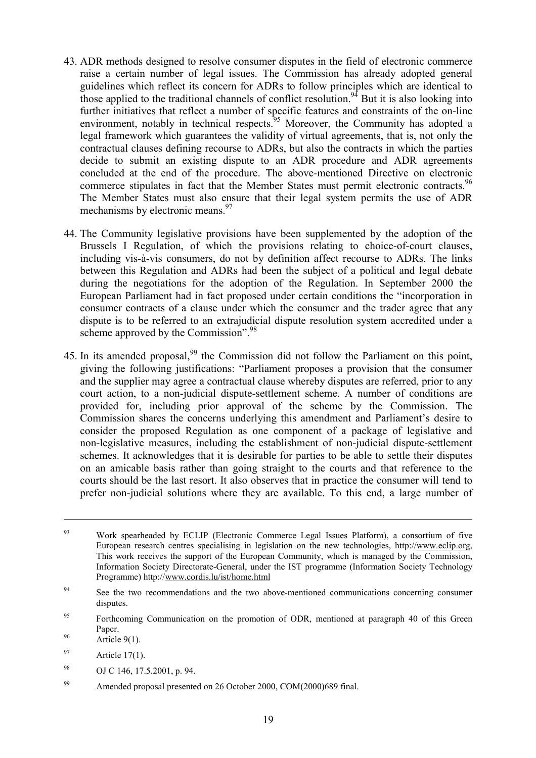- 43. ADR methods designed to resolve consumer disputes in the field of electronic commerce raise a certain number of legal issues. The Commission has already adopted general guidelines which reflect its concern for ADRs to follow principles which are identical to those applied to the traditional channels of conflict resolution.<sup>94</sup> But it is also looking into further initiatives that reflect a number of specific features and constraints of the on-line environment, notably in technical respects.<sup>95</sup> Moreover, the Community has adopted a legal framework which guarantees the validity of virtual agreements, that is, not only the contractual clauses defining recourse to ADRs, but also the contracts in which the parties decide to submit an existing dispute to an ADR procedure and ADR agreements concluded at the end of the procedure. The above-mentioned Directive on electronic commerce stipulates in fact that the Member States must permit electronic contracts.<sup>96</sup> The Member States must also ensure that their legal system permits the use of ADR mechanisms by electronic means.  $97$
- 44. The Community legislative provisions have been supplemented by the adoption of the Brussels I Regulation, of which the provisions relating to choice-of-court clauses, including vis-à-vis consumers, do not by definition affect recourse to ADRs. The links between this Regulation and ADRs had been the subject of a political and legal debate during the negotiations for the adoption of the Regulation. In September 2000 the European Parliament had in fact proposed under certain conditions the "incorporation in consumer contracts of a clause under which the consumer and the trader agree that any dispute is to be referred to an extrajudicial dispute resolution system accredited under a scheme approved by the Commission".<sup>98</sup>
- 45. In its amended proposal,<sup>99</sup> the Commission did not follow the Parliament on this point, giving the following justifications: "Parliament proposes a provision that the consumer and the supplier may agree a contractual clause whereby disputes are referred, prior to any court action, to a non-judicial dispute-settlement scheme. A number of conditions are provided for, including prior approval of the scheme by the Commission. The Commission shares the concerns underlying this amendment and Parliament's desire to consider the proposed Regulation as one component of a package of legislative and non-legislative measures, including the establishment of non-judicial dispute-settlement schemes. It acknowledges that it is desirable for parties to be able to settle their disputes on an amicable basis rather than going straight to the courts and that reference to the courts should be the last resort. It also observes that in practice the consumer will tend to prefer non-judicial solutions where they are available. To this end, a large number of

 $\overline{a}$ 

<sup>98</sup> OJ C 146, 17.5.2001, p. 94.

<sup>&</sup>lt;sup>93</sup> Work spearheaded by ECLIP (Electronic Commerce Legal Issues Platform), a consortium of five European research centres specialising in legislation on the new technologies, http://www.eclip.org, This work receives the support of the European Community, which is managed by the Commission, Information Society Directorate-General, under the IST programme (Information Society Technology Programme) http://www.cordis.lu/ist/home.html

<sup>&</sup>lt;sup>94</sup> See the two recommendations and the two above-mentioned communications concerning consumer disputes.

<sup>&</sup>lt;sup>95</sup> Forthcoming Communication on the promotion of ODR, mentioned at paragraph 40 of this Green 96 Paper.<br>Article 9(1).

 $97$  Article 17(1).

<sup>99</sup> Amended proposal presented on 26 October 2000, COM(2000)689 final.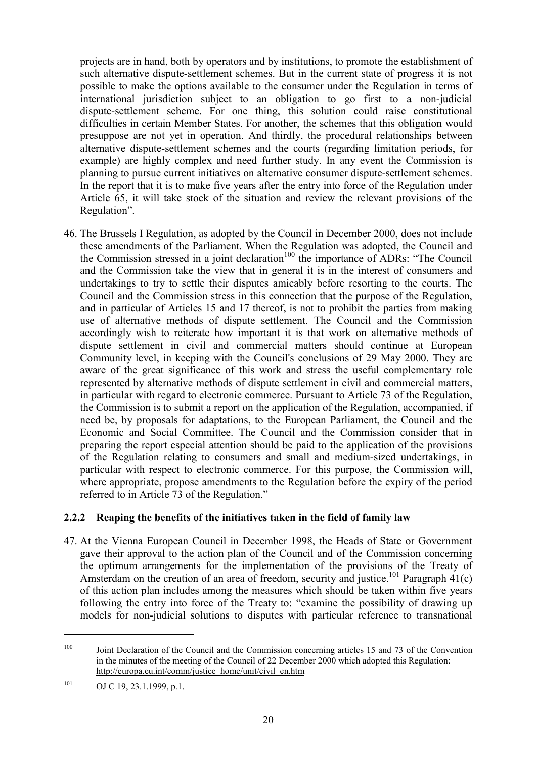projects are in hand, both by operators and by institutions, to promote the establishment of such alternative dispute-settlement schemes. But in the current state of progress it is not possible to make the options available to the consumer under the Regulation in terms of international jurisdiction subject to an obligation to go first to a non-judicial dispute-settlement scheme. For one thing, this solution could raise constitutional difficulties in certain Member States. For another, the schemes that this obligation would presuppose are not yet in operation. And thirdly, the procedural relationships between alternative dispute-settlement schemes and the courts (regarding limitation periods, for example) are highly complex and need further study. In any event the Commission is planning to pursue current initiatives on alternative consumer dispute-settlement schemes. In the report that it is to make five years after the entry into force of the Regulation under Article 65, it will take stock of the situation and review the relevant provisions of the Regulation".

46. The Brussels I Regulation, as adopted by the Council in December 2000, does not include these amendments of the Parliament. When the Regulation was adopted, the Council and the Commission stressed in a joint declaration<sup>100</sup> the importance of ADRs: "The Council" and the Commission take the view that in general it is in the interest of consumers and undertakings to try to settle their disputes amicably before resorting to the courts. The Council and the Commission stress in this connection that the purpose of the Regulation, and in particular of Articles 15 and 17 thereof, is not to prohibit the parties from making use of alternative methods of dispute settlement. The Council and the Commission accordingly wish to reiterate how important it is that work on alternative methods of dispute settlement in civil and commercial matters should continue at European Community level, in keeping with the Council's conclusions of 29 May 2000. They are aware of the great significance of this work and stress the useful complementary role represented by alternative methods of dispute settlement in civil and commercial matters, in particular with regard to electronic commerce. Pursuant to Article 73 of the Regulation, the Commission is to submit a report on the application of the Regulation, accompanied, if need be, by proposals for adaptations, to the European Parliament, the Council and the Economic and Social Committee. The Council and the Commission consider that in preparing the report especial attention should be paid to the application of the provisions of the Regulation relating to consumers and small and medium-sized undertakings, in particular with respect to electronic commerce. For this purpose, the Commission will, where appropriate, propose amendments to the Regulation before the expiry of the period referred to in Article 73 of the Regulation."

#### **2.2.2 Reaping the benefits of the initiatives taken in the field of family law**

47. At the Vienna European Council in December 1998, the Heads of State or Government gave their approval to the action plan of the Council and of the Commission concerning the optimum arrangements for the implementation of the provisions of the Treaty of Amsterdam on the creation of an area of freedom, security and justice.<sup>101</sup> Paragraph  $41(c)$ of this action plan includes among the measures which should be taken within five years following the entry into force of the Treaty to: "examine the possibility of drawing up models for non-judicial solutions to disputes with particular reference to transnational

<sup>&</sup>lt;sup>100</sup> Joint Declaration of the Council and the Commission concerning articles 15 and 73 of the Convention in the minutes of the meeting of the Council of 22 December 2000 which adopted this Regulation: http://europa.eu.int/comm/justice\_home/unit/civil\_en.htm

 $101$  OJ C 19, 23.1.1999, p.1.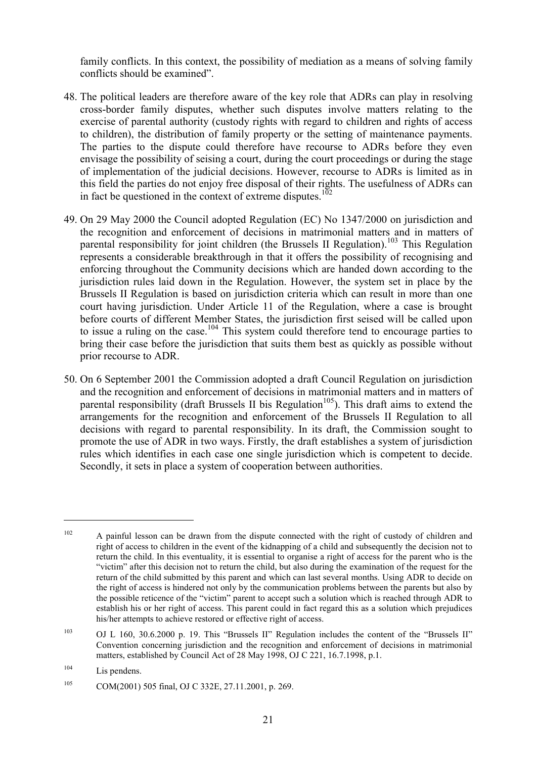family conflicts. In this context, the possibility of mediation as a means of solving family conflicts should be examined".

- 48. The political leaders are therefore aware of the key role that ADRs can play in resolving cross-border family disputes, whether such disputes involve matters relating to the exercise of parental authority (custody rights with regard to children and rights of access to children), the distribution of family property or the setting of maintenance payments. The parties to the dispute could therefore have recourse to ADRs before they even envisage the possibility of seising a court, during the court proceedings or during the stage of implementation of the judicial decisions. However, recourse to ADRs is limited as in this field the parties do not enjoy free disposal of their rights. The usefulness of ADRs can in fact be questioned in the context of extreme disputes.<sup>102</sup>
- 49. On 29 May 2000 the Council adopted Regulation (EC) No 1347/2000 on jurisdiction and the recognition and enforcement of decisions in matrimonial matters and in matters of parental responsibility for joint children (the Brussels II Regulation).<sup>103</sup> This Regulation represents a considerable breakthrough in that it offers the possibility of recognising and enforcing throughout the Community decisions which are handed down according to the jurisdiction rules laid down in the Regulation. However, the system set in place by the Brussels II Regulation is based on jurisdiction criteria which can result in more than one court having jurisdiction. Under Article 11 of the Regulation, where a case is brought before courts of different Member States, the jurisdiction first seised will be called upon to issue a ruling on the case.<sup>104</sup> This system could therefore tend to encourage parties to bring their case before the jurisdiction that suits them best as quickly as possible without prior recourse to ADR.
- 50. On 6 September 2001 the Commission adopted a draft Council Regulation on jurisdiction and the recognition and enforcement of decisions in matrimonial matters and in matters of parental responsibility (draft Brussels II bis Regulation<sup>105</sup>). This draft aims to extend the arrangements for the recognition and enforcement of the Brussels II Regulation to all decisions with regard to parental responsibility. In its draft, the Commission sought to promote the use of ADR in two ways. Firstly, the draft establishes a system of jurisdiction rules which identifies in each case one single jurisdiction which is competent to decide. Secondly, it sets in place a system of cooperation between authorities.

 $102$  A painful lesson can be drawn from the dispute connected with the right of custody of children and right of access to children in the event of the kidnapping of a child and subsequently the decision not to return the child. In this eventuality, it is essential to organise a right of access for the parent who is the "victim" after this decision not to return the child, but also during the examination of the request for the return of the child submitted by this parent and which can last several months. Using ADR to decide on the right of access is hindered not only by the communication problems between the parents but also by the possible reticence of the "victim" parent to accept such a solution which is reached through ADR to establish his or her right of access. This parent could in fact regard this as a solution which prejudices his/her attempts to achieve restored or effective right of access.

<sup>103</sup> OJ L 160, 30.6.2000 p. 19. This "Brussels II" Regulation includes the content of the "Brussels II" Convention concerning jurisdiction and the recognition and enforcement of decisions in matrimonial matters, established by Council Act of 28 May 1998, OJ C 221, 16.7.1998, p.1.

<sup>&</sup>lt;sup>104</sup> Lis pendens.

<sup>105</sup> COM(2001) 505 final, OJ C 332E, 27.11.2001, p. 269.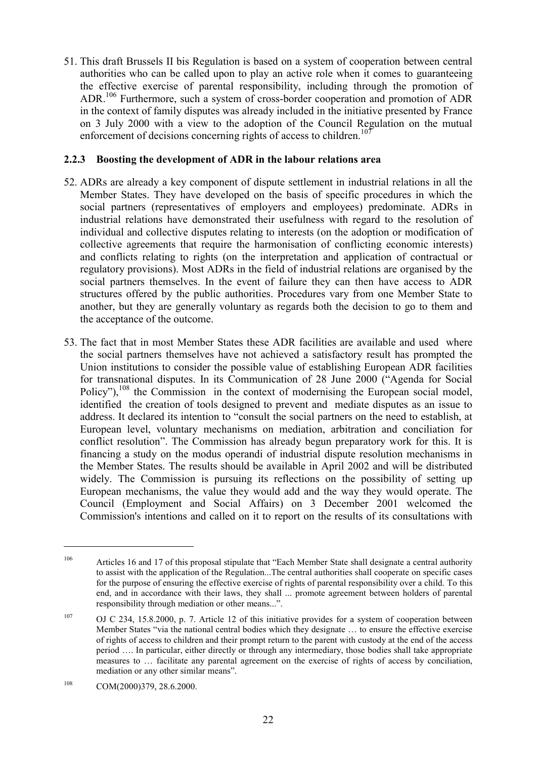51. This draft Brussels II bis Regulation is based on a system of cooperation between central authorities who can be called upon to play an active role when it comes to guaranteeing the effective exercise of parental responsibility, including through the promotion of ADR.106 Furthermore, such a system of cross-border cooperation and promotion of ADR in the context of family disputes was already included in the initiative presented by France on 3 July 2000 with a view to the adoption of the Council Regulation on the mutual enforcement of decisions concerning rights of access to children.<sup>107</sup>

#### **2.2.3 Boosting the development of ADR in the labour relations area**

- 52. ADRs are already a key component of dispute settlement in industrial relations in all the Member States. They have developed on the basis of specific procedures in which the social partners (representatives of employers and employees) predominate. ADRs in industrial relations have demonstrated their usefulness with regard to the resolution of individual and collective disputes relating to interests (on the adoption or modification of collective agreements that require the harmonisation of conflicting economic interests) and conflicts relating to rights (on the interpretation and application of contractual or regulatory provisions). Most ADRs in the field of industrial relations are organised by the social partners themselves. In the event of failure they can then have access to ADR structures offered by the public authorities. Procedures vary from one Member State to another, but they are generally voluntary as regards both the decision to go to them and the acceptance of the outcome.
- 53. The fact that in most Member States these ADR facilities are available and used where the social partners themselves have not achieved a satisfactory result has prompted the Union institutions to consider the possible value of establishing European ADR facilities for transnational disputes. In its Communication of 28 June 2000 ("Agenda for Social Policy"), $108$  the Commission in the context of modernising the European social model, identified the creation of tools designed to prevent and mediate disputes as an issue to address. It declared its intention to "consult the social partners on the need to establish, at European level, voluntary mechanisms on mediation, arbitration and conciliation for conflict resolution". The Commission has already begun preparatory work for this. It is financing a study on the modus operandi of industrial dispute resolution mechanisms in the Member States. The results should be available in April 2002 and will be distributed widely. The Commission is pursuing its reflections on the possibility of setting up European mechanisms, the value they would add and the way they would operate. The Council (Employment and Social Affairs) on 3 December 2001 welcomed the Commission's intentions and called on it to report on the results of its consultations with

<sup>&</sup>lt;sup>106</sup> Articles 16 and 17 of this proposal stipulate that "Each Member State shall designate a central authority to assist with the application of the Regulation...The central authorities shall cooperate on specific cases for the purpose of ensuring the effective exercise of rights of parental responsibility over a child. To this end, and in accordance with their laws, they shall ... promote agreement between holders of parental responsibility through mediation or other means...".

<sup>107</sup> OJ C 234, 15.8.2000, p. 7. Article 12 of this initiative provides for a system of cooperation between Member States "via the national central bodies which they designate … to ensure the effective exercise of rights of access to children and their prompt return to the parent with custody at the end of the access period …. In particular, either directly or through any intermediary, those bodies shall take appropriate measures to … facilitate any parental agreement on the exercise of rights of access by conciliation, mediation or any other similar means".

<sup>108</sup> COM(2000)379, 28.6.2000.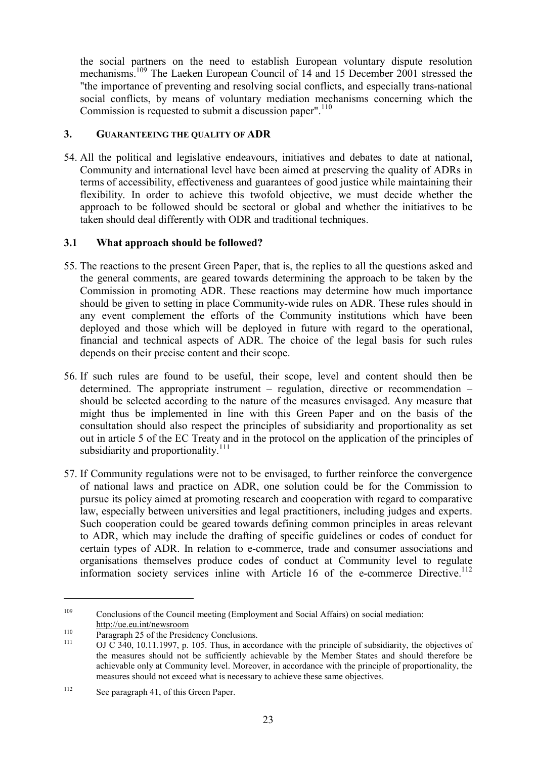the social partners on the need to establish European voluntary dispute resolution mechanisms.<sup>109</sup> The Laeken European Council of 14 and 15 December 2001 stressed the "the importance of preventing and resolving social conflicts, and especially trans-national social conflicts, by means of voluntary mediation mechanisms concerning which the Commission is requested to submit a discussion paper".<sup>110</sup>

#### **3. GUARANTEEING THE QUALITY OF ADR**

54. All the political and legislative endeavours, initiatives and debates to date at national, Community and international level have been aimed at preserving the quality of ADRs in terms of accessibility, effectiveness and guarantees of good justice while maintaining their flexibility. In order to achieve this twofold objective, we must decide whether the approach to be followed should be sectoral or global and whether the initiatives to be taken should deal differently with ODR and traditional techniques.

#### **3.1 What approach should be followed?**

- 55. The reactions to the present Green Paper, that is, the replies to all the questions asked and the general comments, are geared towards determining the approach to be taken by the Commission in promoting ADR. These reactions may determine how much importance should be given to setting in place Community-wide rules on ADR. These rules should in any event complement the efforts of the Community institutions which have been deployed and those which will be deployed in future with regard to the operational, financial and technical aspects of ADR. The choice of the legal basis for such rules depends on their precise content and their scope.
- 56. If such rules are found to be useful, their scope, level and content should then be determined. The appropriate instrument – regulation, directive or recommendation – should be selected according to the nature of the measures envisaged. Any measure that might thus be implemented in line with this Green Paper and on the basis of the consultation should also respect the principles of subsidiarity and proportionality as set out in article 5 of the EC Treaty and in the protocol on the application of the principles of subsidiarity and proportionality.<sup>111</sup>
- 57. If Community regulations were not to be envisaged, to further reinforce the convergence of national laws and practice on ADR, one solution could be for the Commission to pursue its policy aimed at promoting research and cooperation with regard to comparative law, especially between universities and legal practitioners, including judges and experts. Such cooperation could be geared towards defining common principles in areas relevant to ADR, which may include the drafting of specific guidelines or codes of conduct for certain types of ADR. In relation to e-commerce, trade and consumer associations and organisations themselves produce codes of conduct at Community level to regulate information society services inline with Article 16 of the e-commerce Directive.<sup>112</sup>

<sup>&</sup>lt;sup>109</sup> Conclusions of the Council meeting (Employment and Social Affairs) on social mediation:<br>http://ue.eu.int/newsroom

 $\frac{110}{111}$  Paragraph 25 of the Presidency Conclusions.<br>
OJ C 340, 10.11.1997, p. 105. Thus, in accordance with the principle of subsidiarity, the objectives of the measures should not be sufficiently achievable by the Member States and should therefore be achievable only at Community level. Moreover, in accordance with the principle of proportionality, the measures should not exceed what is necessary to achieve these same objectives.

<sup>&</sup>lt;sup>112</sup> See paragraph 41, of this Green Paper.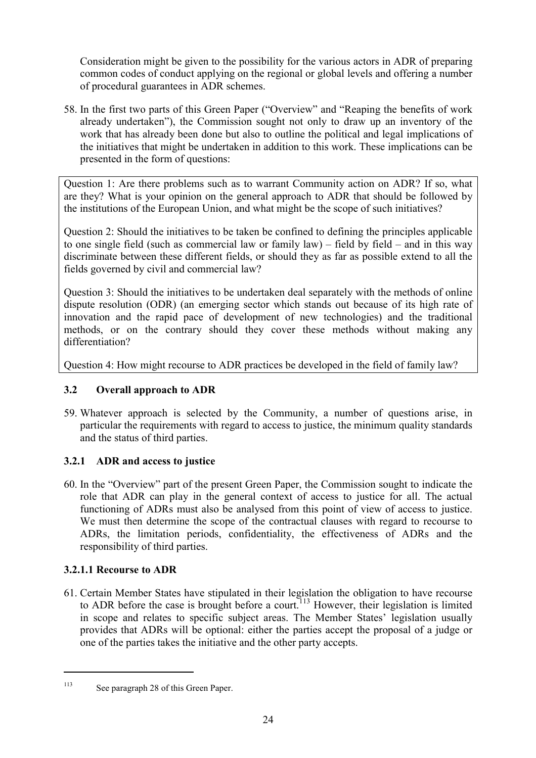Consideration might be given to the possibility for the various actors in ADR of preparing common codes of conduct applying on the regional or global levels and offering a number of procedural guarantees in ADR schemes.

58. In the first two parts of this Green Paper ("Overview" and "Reaping the benefits of work already undertaken"), the Commission sought not only to draw up an inventory of the work that has already been done but also to outline the political and legal implications of the initiatives that might be undertaken in addition to this work. These implications can be presented in the form of questions:

Question 1: Are there problems such as to warrant Community action on ADR? If so, what are they? What is your opinion on the general approach to ADR that should be followed by the institutions of the European Union, and what might be the scope of such initiatives?

Question 2: Should the initiatives to be taken be confined to defining the principles applicable to one single field (such as commercial law or family law) – field by field – and in this way discriminate between these different fields, or should they as far as possible extend to all the fields governed by civil and commercial law?

Question 3: Should the initiatives to be undertaken deal separately with the methods of online dispute resolution (ODR) (an emerging sector which stands out because of its high rate of innovation and the rapid pace of development of new technologies) and the traditional methods, or on the contrary should they cover these methods without making any differentiation?

Question 4: How might recourse to ADR practices be developed in the field of family law?

# **3.2 Overall approach to ADR**

59. Whatever approach is selected by the Community, a number of questions arise, in particular the requirements with regard to access to justice, the minimum quality standards and the status of third parties.

# **3.2.1 ADR and access to justice**

60. In the "Overview" part of the present Green Paper, the Commission sought to indicate the role that ADR can play in the general context of access to justice for all. The actual functioning of ADRs must also be analysed from this point of view of access to justice. We must then determine the scope of the contractual clauses with regard to recourse to ADRs, the limitation periods, confidentiality, the effectiveness of ADRs and the responsibility of third parties.

# **3.2.1.1 Recourse to ADR**

 $\overline{a}$ 

61. Certain Member States have stipulated in their legislation the obligation to have recourse to ADR before the case is brought before a court.<sup>113</sup> However, their legislation is limited in scope and relates to specific subject areas. The Member States' legislation usually provides that ADRs will be optional: either the parties accept the proposal of a judge or one of the parties takes the initiative and the other party accepts.

<sup>113</sup> See paragraph 28 of this Green Paper.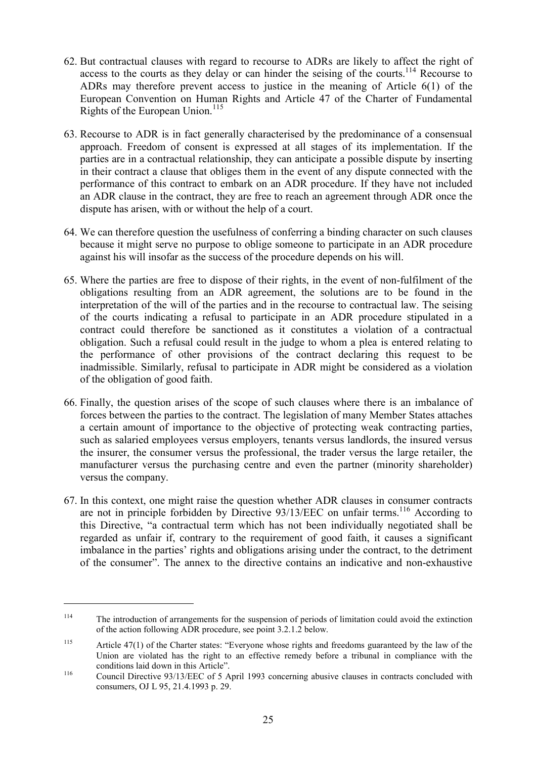- 62. But contractual clauses with regard to recourse to ADRs are likely to affect the right of access to the courts as they delay or can hinder the seising of the courts.<sup>114</sup> Recourse to ADRs may therefore prevent access to justice in the meaning of Article 6(1) of the European Convention on Human Rights and Article 47 of the Charter of Fundamental Rights of the European Union. $115$
- 63. Recourse to ADR is in fact generally characterised by the predominance of a consensual approach. Freedom of consent is expressed at all stages of its implementation. If the parties are in a contractual relationship, they can anticipate a possible dispute by inserting in their contract a clause that obliges them in the event of any dispute connected with the performance of this contract to embark on an ADR procedure. If they have not included an ADR clause in the contract, they are free to reach an agreement through ADR once the dispute has arisen, with or without the help of a court.
- 64. We can therefore question the usefulness of conferring a binding character on such clauses because it might serve no purpose to oblige someone to participate in an ADR procedure against his will insofar as the success of the procedure depends on his will.
- 65. Where the parties are free to dispose of their rights, in the event of non-fulfilment of the obligations resulting from an ADR agreement, the solutions are to be found in the interpretation of the will of the parties and in the recourse to contractual law. The seising of the courts indicating a refusal to participate in an ADR procedure stipulated in a contract could therefore be sanctioned as it constitutes a violation of a contractual obligation. Such a refusal could result in the judge to whom a plea is entered relating to the performance of other provisions of the contract declaring this request to be inadmissible. Similarly, refusal to participate in ADR might be considered as a violation of the obligation of good faith.
- 66. Finally, the question arises of the scope of such clauses where there is an imbalance of forces between the parties to the contract. The legislation of many Member States attaches a certain amount of importance to the objective of protecting weak contracting parties, such as salaried employees versus employers, tenants versus landlords, the insured versus the insurer, the consumer versus the professional, the trader versus the large retailer, the manufacturer versus the purchasing centre and even the partner (minority shareholder) versus the company.
- 67. In this context, one might raise the question whether ADR clauses in consumer contracts are not in principle forbidden by Directive  $93/13/EEC$  on unfair terms.<sup>116</sup> According to this Directive, "a contractual term which has not been individually negotiated shall be regarded as unfair if, contrary to the requirement of good faith, it causes a significant imbalance in the parties' rights and obligations arising under the contract, to the detriment of the consumer". The annex to the directive contains an indicative and non-exhaustive

<sup>114</sup> The introduction of arrangements for the suspension of periods of limitation could avoid the extinction of the action following ADR procedure, see point 3.2.1.2 below.

<sup>115</sup> Article 47(1) of the Charter states: "Everyone whose rights and freedoms guaranteed by the law of the Union are violated has the right to an effective remedy before a tribunal in compliance with the conditions laid down in this Article".<br>
Council Directive 93/13/EEC of 5 April 1993 concerning abusive clauses in contracts concluded with

consumers, OJ L 95, 21.4.1993 p. 29.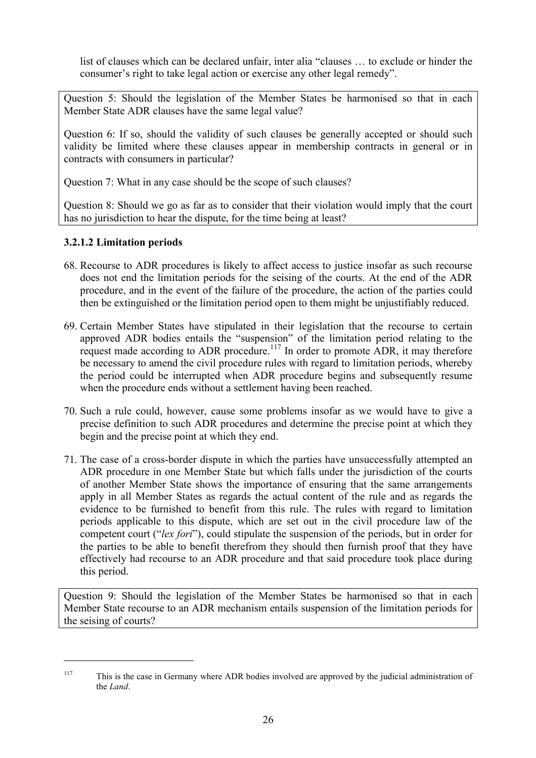list of clauses which can be declared unfair, inter alia "clauses … to exclude or hinder the consumer's right to take legal action or exercise any other legal remedy".

Question 5: Should the legislation of the Member States be harmonised so that in each Member State ADR clauses have the same legal value?

Question 6: If so, should the validity of such clauses be generally accepted or should such validity be limited where these clauses appear in membership contracts in general or in contracts with consumers in particular?

Question 7: What in any case should be the scope of such clauses?

Question 8: Should we go as far as to consider that their violation would imply that the court has no jurisdiction to hear the dispute, for the time being at least?

# **3.2.1.2 Limitation periods**

 $\overline{a}$ 

- 68. Recourse to ADR procedures is likely to affect access to justice insofar as such recourse does not end the limitation periods for the seising of the courts. At the end of the ADR procedure, and in the event of the failure of the procedure, the action of the parties could then be extinguished or the limitation period open to them might be unjustifiably reduced.
- 69. Certain Member States have stipulated in their legislation that the recourse to certain approved ADR bodies entails the "suspension" of the limitation period relating to the request made according to ADR procedure.<sup>117</sup> In order to promote ADR, it may therefore be necessary to amend the civil procedure rules with regard to limitation periods, whereby the period could be interrupted when ADR procedure begins and subsequently resume when the procedure ends without a settlement having been reached.
- 70. Such a rule could, however, cause some problems insofar as we would have to give a precise definition to such ADR procedures and determine the precise point at which they begin and the precise point at which they end.
- 71. The case of a cross-border dispute in which the parties have unsuccessfully attempted an ADR procedure in one Member State but which falls under the jurisdiction of the courts of another Member State shows the importance of ensuring that the same arrangements apply in all Member States as regards the actual content of the rule and as regards the evidence to be furnished to benefit from this rule. The rules with regard to limitation periods applicable to this dispute, which are set out in the civil procedure law of the competent court ("*lex fori*"), could stipulate the suspension of the periods, but in order for the parties to be able to benefit therefrom they should then furnish proof that they have effectively had recourse to an ADR procedure and that said procedure took place during this period.

Question 9: Should the legislation of the Member States be harmonised so that in each Member State recourse to an ADR mechanism entails suspension of the limitation periods for the seising of courts?

<sup>&</sup>lt;sup>117</sup> This is the case in Germany where ADR bodies involved are approved by the judicial administration of the *Land*.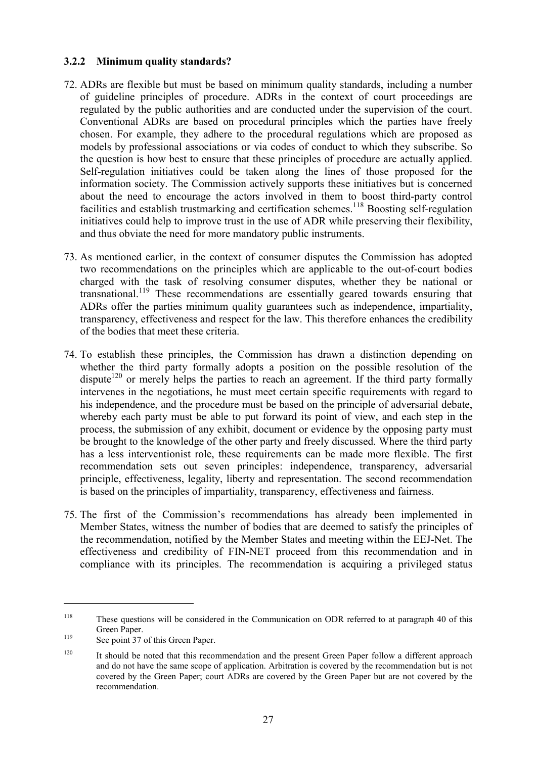## **3.2.2 Minimum quality standards?**

- 72. ADRs are flexible but must be based on minimum quality standards, including a number of guideline principles of procedure. ADRs in the context of court proceedings are regulated by the public authorities and are conducted under the supervision of the court. Conventional ADRs are based on procedural principles which the parties have freely chosen. For example, they adhere to the procedural regulations which are proposed as models by professional associations or via codes of conduct to which they subscribe. So the question is how best to ensure that these principles of procedure are actually applied. Self-regulation initiatives could be taken along the lines of those proposed for the information society. The Commission actively supports these initiatives but is concerned about the need to encourage the actors involved in them to boost third-party control facilities and establish trustmarking and certification schemes.<sup>118</sup> Boosting self-regulation initiatives could help to improve trust in the use of ADR while preserving their flexibility, and thus obviate the need for more mandatory public instruments.
- 73. As mentioned earlier, in the context of consumer disputes the Commission has adopted two recommendations on the principles which are applicable to the out-of-court bodies charged with the task of resolving consumer disputes, whether they be national or transnational.119 These recommendations are essentially geared towards ensuring that ADRs offer the parties minimum quality guarantees such as independence, impartiality, transparency, effectiveness and respect for the law. This therefore enhances the credibility of the bodies that meet these criteria.
- 74. To establish these principles, the Commission has drawn a distinction depending on whether the third party formally adopts a position on the possible resolution of the dispute<sup>120</sup> or merely helps the parties to reach an agreement. If the third party formally intervenes in the negotiations, he must meet certain specific requirements with regard to his independence, and the procedure must be based on the principle of adversarial debate, whereby each party must be able to put forward its point of view, and each step in the process, the submission of any exhibit, document or evidence by the opposing party must be brought to the knowledge of the other party and freely discussed. Where the third party has a less interventionist role, these requirements can be made more flexible. The first recommendation sets out seven principles: independence, transparency, adversarial principle, effectiveness, legality, liberty and representation. The second recommendation is based on the principles of impartiality, transparency, effectiveness and fairness.
- 75. The first of the Commission's recommendations has already been implemented in Member States, witness the number of bodies that are deemed to satisfy the principles of the recommendation, notified by the Member States and meeting within the EEJ-Net. The effectiveness and credibility of FIN-NET proceed from this recommendation and in compliance with its principles. The recommendation is acquiring a privileged status

<sup>118</sup> These questions will be considered in the Communication on ODR referred to at paragraph 40 of this Green Paper.<br><sup>119</sup> See point 37 of this Green Paper.

<sup>&</sup>lt;sup>120</sup> It should be noted that this recommendation and the present Green Paper follow a different approach and do not have the same scope of application. Arbitration is covered by the recommendation but is not covered by the Green Paper; court ADRs are covered by the Green Paper but are not covered by the recommendation.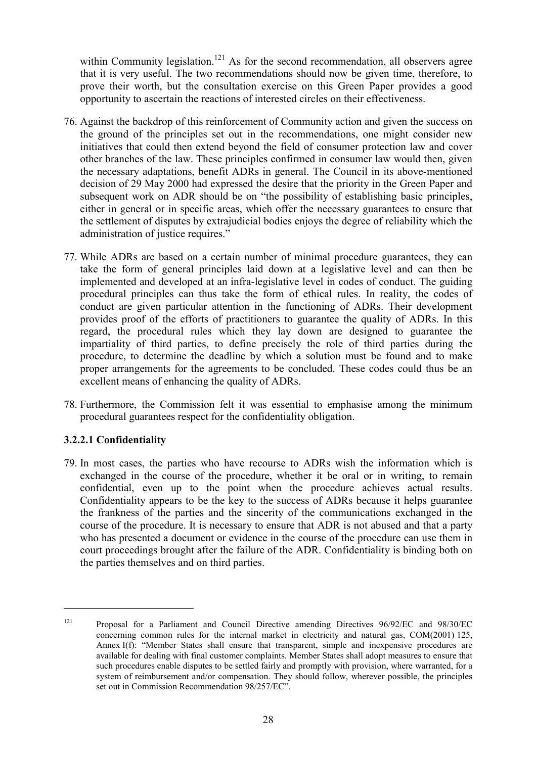within Community legislation.<sup>121</sup> As for the second recommendation, all observers agree that it is very useful. The two recommendations should now be given time, therefore, to prove their worth, but the consultation exercise on this Green Paper provides a good opportunity to ascertain the reactions of interested circles on their effectiveness.

- 76. Against the backdrop of this reinforcement of Community action and given the success on the ground of the principles set out in the recommendations, one might consider new initiatives that could then extend beyond the field of consumer protection law and cover other branches of the law. These principles confirmed in consumer law would then, given the necessary adaptations, benefit ADRs in general. The Council in its above-mentioned decision of 29 May 2000 had expressed the desire that the priority in the Green Paper and subsequent work on ADR should be on "the possibility of establishing basic principles, either in general or in specific areas, which offer the necessary guarantees to ensure that the settlement of disputes by extrajudicial bodies enjoys the degree of reliability which the administration of justice requires."
- 77. While ADRs are based on a certain number of minimal procedure guarantees, they can take the form of general principles laid down at a legislative level and can then be implemented and developed at an infra-legislative level in codes of conduct. The guiding procedural principles can thus take the form of ethical rules. In reality, the codes of conduct are given particular attention in the functioning of ADRs. Their development provides proof of the efforts of practitioners to guarantee the quality of ADRs. In this regard, the procedural rules which they lay down are designed to guarantee the impartiality of third parties, to define precisely the role of third parties during the procedure, to determine the deadline by which a solution must be found and to make proper arrangements for the agreements to be concluded. These codes could thus be an excellent means of enhancing the quality of ADRs.
- 78. Furthermore, the Commission felt it was essential to emphasise among the minimum procedural guarantees respect for the confidentiality obligation.

#### **3.2.2.1 Confidentiality**

 $\overline{a}$ 

79. In most cases, the parties who have recourse to ADRs wish the information which is exchanged in the course of the procedure, whether it be oral or in writing, to remain confidential, even up to the point when the procedure achieves actual results. Confidentiality appears to be the key to the success of ADRs because it helps guarantee the frankness of the parties and the sincerity of the communications exchanged in the course of the procedure. It is necessary to ensure that ADR is not abused and that a party who has presented a document or evidence in the course of the procedure can use them in court proceedings brought after the failure of the ADR. Confidentiality is binding both on the parties themselves and on third parties.

<sup>121</sup> Proposal for a Parliament and Council Directive amending Directives 96/92/EC and 98/30/EC concerning common rules for the internal market in electricity and natural gas, COM(2001) 125, Annex I(f): "Member States shall ensure that transparent, simple and inexpensive procedures are available for dealing with final customer complaints. Member States shall adopt measures to ensure that such procedures enable disputes to be settled fairly and promptly with provision, where warranted, for a system of reimbursement and/or compensation. They should follow, wherever possible, the principles set out in Commission Recommendation 98/257/EC".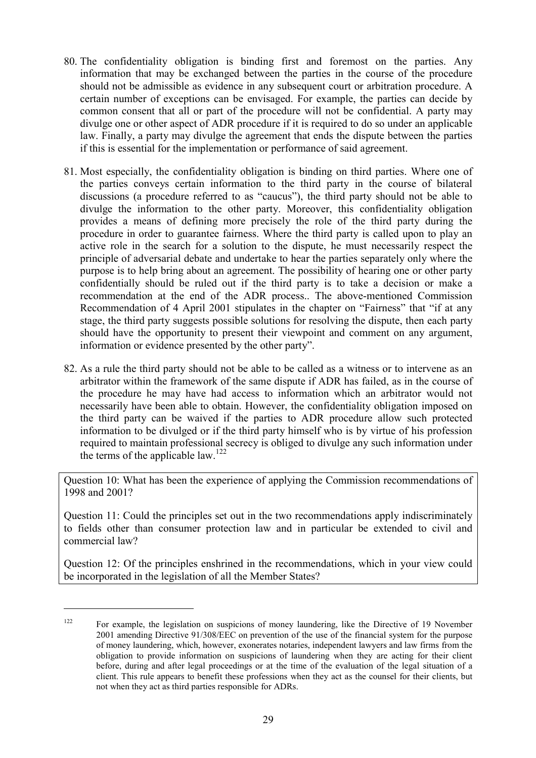- 80. The confidentiality obligation is binding first and foremost on the parties. Any information that may be exchanged between the parties in the course of the procedure should not be admissible as evidence in any subsequent court or arbitration procedure. A certain number of exceptions can be envisaged. For example, the parties can decide by common consent that all or part of the procedure will not be confidential. A party may divulge one or other aspect of ADR procedure if it is required to do so under an applicable law. Finally, a party may divulge the agreement that ends the dispute between the parties if this is essential for the implementation or performance of said agreement.
- 81. Most especially, the confidentiality obligation is binding on third parties. Where one of the parties conveys certain information to the third party in the course of bilateral discussions (a procedure referred to as "caucus"), the third party should not be able to divulge the information to the other party. Moreover, this confidentiality obligation provides a means of defining more precisely the role of the third party during the procedure in order to guarantee fairness. Where the third party is called upon to play an active role in the search for a solution to the dispute, he must necessarily respect the principle of adversarial debate and undertake to hear the parties separately only where the purpose is to help bring about an agreement. The possibility of hearing one or other party confidentially should be ruled out if the third party is to take a decision or make a recommendation at the end of the ADR process.. The above-mentioned Commission Recommendation of 4 April 2001 stipulates in the chapter on "Fairness" that "if at any stage, the third party suggests possible solutions for resolving the dispute, then each party should have the opportunity to present their viewpoint and comment on any argument, information or evidence presented by the other party".
- 82. As a rule the third party should not be able to be called as a witness or to intervene as an arbitrator within the framework of the same dispute if ADR has failed, as in the course of the procedure he may have had access to information which an arbitrator would not necessarily have been able to obtain. However, the confidentiality obligation imposed on the third party can be waived if the parties to ADR procedure allow such protected information to be divulged or if the third party himself who is by virtue of his profession required to maintain professional secrecy is obliged to divulge any such information under the terms of the applicable law.<sup>122</sup>

Question 10: What has been the experience of applying the Commission recommendations of 1998 and 2001?

Question 11: Could the principles set out in the two recommendations apply indiscriminately to fields other than consumer protection law and in particular be extended to civil and commercial law?

Question 12: Of the principles enshrined in the recommendations, which in your view could be incorporated in the legislation of all the Member States?

<sup>&</sup>lt;sup>122</sup> For example, the legislation on suspicions of money laundering, like the Directive of 19 November 2001 amending Directive 91/308/EEC on prevention of the use of the financial system for the purpose of money laundering, which, however, exonerates notaries, independent lawyers and law firms from the obligation to provide information on suspicions of laundering when they are acting for their client before, during and after legal proceedings or at the time of the evaluation of the legal situation of a client. This rule appears to benefit these professions when they act as the counsel for their clients, but not when they act as third parties responsible for ADRs.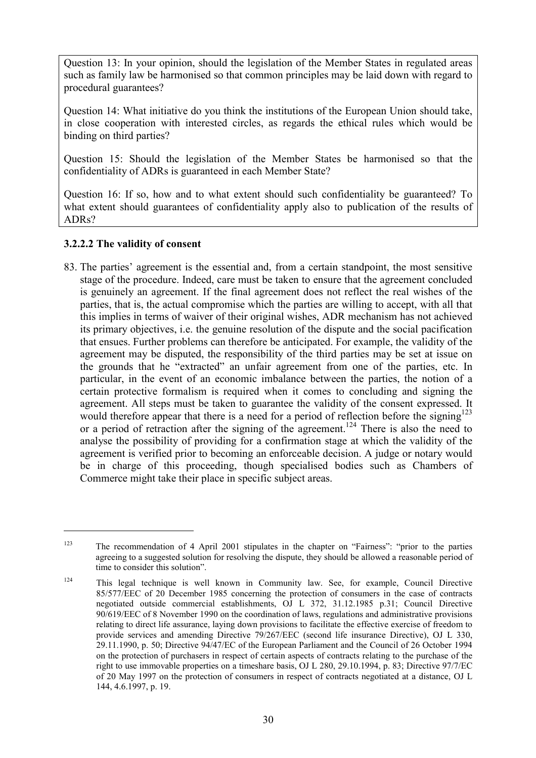Question 13: In your opinion, should the legislation of the Member States in regulated areas such as family law be harmonised so that common principles may be laid down with regard to procedural guarantees?

Question 14: What initiative do you think the institutions of the European Union should take, in close cooperation with interested circles, as regards the ethical rules which would be binding on third parties?

Question 15: Should the legislation of the Member States be harmonised so that the confidentiality of ADRs is guaranteed in each Member State?

Question 16: If so, how and to what extent should such confidentiality be guaranteed? To what extent should guarantees of confidentiality apply also to publication of the results of ADRs?

## **3.2.2.2 The validity of consent**

 $\overline{a}$ 

83. The parties' agreement is the essential and, from a certain standpoint, the most sensitive stage of the procedure. Indeed, care must be taken to ensure that the agreement concluded is genuinely an agreement. If the final agreement does not reflect the real wishes of the parties, that is, the actual compromise which the parties are willing to accept, with all that this implies in terms of waiver of their original wishes, ADR mechanism has not achieved its primary objectives, i.e. the genuine resolution of the dispute and the social pacification that ensues. Further problems can therefore be anticipated. For example, the validity of the agreement may be disputed, the responsibility of the third parties may be set at issue on the grounds that he "extracted" an unfair agreement from one of the parties, etc. In particular, in the event of an economic imbalance between the parties, the notion of a certain protective formalism is required when it comes to concluding and signing the agreement. All steps must be taken to guarantee the validity of the consent expressed. It would therefore appear that there is a need for a period of reflection before the signing<sup>123</sup> or a period of retraction after the signing of the agreement.<sup>124</sup> There is also the need to analyse the possibility of providing for a confirmation stage at which the validity of the agreement is verified prior to becoming an enforceable decision. A judge or notary would be in charge of this proceeding, though specialised bodies such as Chambers of Commerce might take their place in specific subject areas.

<sup>123</sup> The recommendation of 4 April 2001 stipulates in the chapter on "Fairness": "prior to the parties agreeing to a suggested solution for resolving the dispute, they should be allowed a reasonable period of time to consider this solution".

<sup>124</sup> This legal technique is well known in Community law. See, for example, Council Directive 85/577/EEC of 20 December 1985 concerning the protection of consumers in the case of contracts negotiated outside commercial establishments, OJ L 372, 31.12.1985 p.31; Council Directive 90/619/EEC of 8 November 1990 on the coordination of laws, regulations and administrative provisions relating to direct life assurance, laying down provisions to facilitate the effective exercise of freedom to provide services and amending Directive 79/267/EEC (second life insurance Directive), OJ L 330, 29.11.1990, p. 50; Directive 94/47/EC of the European Parliament and the Council of 26 October 1994 on the protection of purchasers in respect of certain aspects of contracts relating to the purchase of the right to use immovable properties on a timeshare basis, OJ L 280, 29.10.1994, p. 83; Directive 97/7/EC of 20 May 1997 on the protection of consumers in respect of contracts negotiated at a distance, OJ L 144, 4.6.1997, p. 19.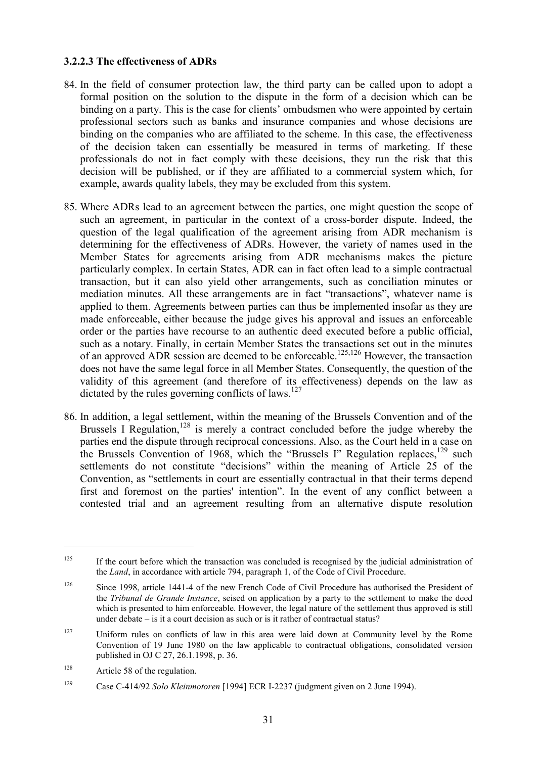#### **3.2.2.3 The effectiveness of ADRs**

- 84. In the field of consumer protection law, the third party can be called upon to adopt a formal position on the solution to the dispute in the form of a decision which can be binding on a party. This is the case for clients' ombudsmen who were appointed by certain professional sectors such as banks and insurance companies and whose decisions are binding on the companies who are affiliated to the scheme. In this case, the effectiveness of the decision taken can essentially be measured in terms of marketing. If these professionals do not in fact comply with these decisions, they run the risk that this decision will be published, or if they are affiliated to a commercial system which, for example, awards quality labels, they may be excluded from this system.
- 85. Where ADRs lead to an agreement between the parties, one might question the scope of such an agreement, in particular in the context of a cross-border dispute. Indeed, the question of the legal qualification of the agreement arising from ADR mechanism is determining for the effectiveness of ADRs. However, the variety of names used in the Member States for agreements arising from ADR mechanisms makes the picture particularly complex. In certain States, ADR can in fact often lead to a simple contractual transaction, but it can also yield other arrangements, such as conciliation minutes or mediation minutes. All these arrangements are in fact "transactions", whatever name is applied to them. Agreements between parties can thus be implemented insofar as they are made enforceable, either because the judge gives his approval and issues an enforceable order or the parties have recourse to an authentic deed executed before a public official, such as a notary. Finally, in certain Member States the transactions set out in the minutes of an approved ADR session are deemed to be enforceable.<sup>125,126</sup> However, the transaction does not have the same legal force in all Member States. Consequently, the question of the validity of this agreement (and therefore of its effectiveness) depends on the law as dictated by the rules governing conflicts of laws.<sup>127</sup>
- 86. In addition, a legal settlement, within the meaning of the Brussels Convention and of the Brussels I Regulation,<sup>128</sup> is merely a contract concluded before the judge whereby the parties end the dispute through reciprocal concessions. Also, as the Court held in a case on the Brussels Convention of 1968, which the "Brussels I" Regulation replaces,  $^{129}$  such settlements do not constitute "decisions" within the meaning of Article 25 of the Convention, as "settlements in court are essentially contractual in that their terms depend first and foremost on the parties' intention". In the event of any conflict between a contested trial and an agreement resulting from an alternative dispute resolution

<sup>&</sup>lt;sup>125</sup> If the court before which the transaction was concluded is recognised by the judicial administration of the *Land*, in accordance with article 794, paragraph 1, of the Code of Civil Procedure.

<sup>&</sup>lt;sup>126</sup> Since 1998, article 1441-4 of the new French Code of Civil Procedure has authorised the President of the *Tribunal de Grande Instance*, seised on application by a party to the settlement to make the deed which is presented to him enforceable. However, the legal nature of the settlement thus approved is still under debate – is it a court decision as such or is it rather of contractual status?

<sup>&</sup>lt;sup>127</sup> Uniform rules on conflicts of law in this area were laid down at Community level by the Rome Convention of 19 June 1980 on the law applicable to contractual obligations, consolidated version published in OJ C 27, 26.1.1998, p. 36.

<sup>&</sup>lt;sup>128</sup> Article 58 of the regulation.

<sup>129</sup> Case C-414/92 *Solo Kleinmotoren* [1994] ECR I-2237 (judgment given on 2 June 1994).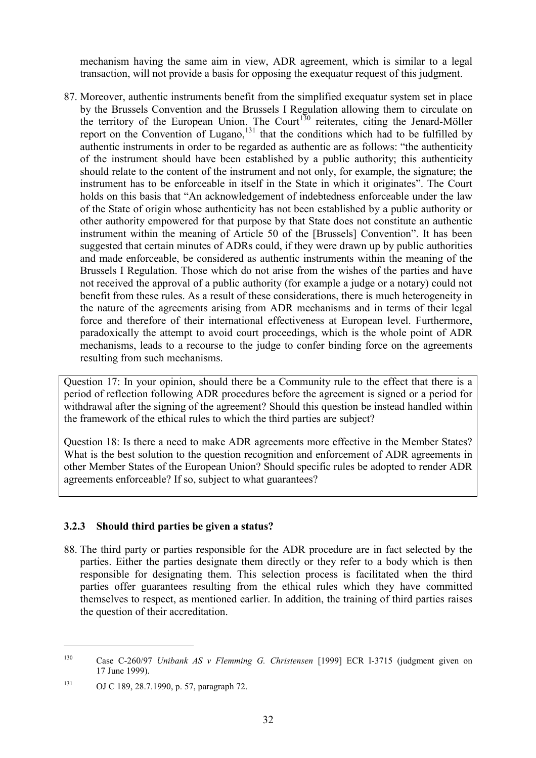mechanism having the same aim in view, ADR agreement, which is similar to a legal transaction, will not provide a basis for opposing the exequatur request of this judgment.

87. Moreover, authentic instruments benefit from the simplified exequatur system set in place by the Brussels Convention and the Brussels I Regulation allowing them to circulate on the territory of the European Union. The Court<sup>130</sup> reiterates, citing the Jenard-Möller report on the Convention of Lugano,<sup>131</sup> that the conditions which had to be fulfilled by authentic instruments in order to be regarded as authentic are as follows: "the authenticity of the instrument should have been established by a public authority; this authenticity should relate to the content of the instrument and not only, for example, the signature; the instrument has to be enforceable in itself in the State in which it originates". The Court holds on this basis that "An acknowledgement of indebtedness enforceable under the law of the State of origin whose authenticity has not been established by a public authority or other authority empowered for that purpose by that State does not constitute an authentic instrument within the meaning of Article 50 of the [Brussels] Convention". It has been suggested that certain minutes of ADRs could, if they were drawn up by public authorities and made enforceable, be considered as authentic instruments within the meaning of the Brussels I Regulation. Those which do not arise from the wishes of the parties and have not received the approval of a public authority (for example a judge or a notary) could not benefit from these rules. As a result of these considerations, there is much heterogeneity in the nature of the agreements arising from ADR mechanisms and in terms of their legal force and therefore of their international effectiveness at European level. Furthermore, paradoxically the attempt to avoid court proceedings, which is the whole point of ADR mechanisms, leads to a recourse to the judge to confer binding force on the agreements resulting from such mechanisms.

Question 17: In your opinion, should there be a Community rule to the effect that there is a period of reflection following ADR procedures before the agreement is signed or a period for withdrawal after the signing of the agreement? Should this question be instead handled within the framework of the ethical rules to which the third parties are subject?

Question 18: Is there a need to make ADR agreements more effective in the Member States? What is the best solution to the question recognition and enforcement of ADR agreements in other Member States of the European Union? Should specific rules be adopted to render ADR agreements enforceable? If so, subject to what guarantees?

# **3.2.3 Should third parties be given a status?**

88. The third party or parties responsible for the ADR procedure are in fact selected by the parties. Either the parties designate them directly or they refer to a body which is then responsible for designating them. This selection process is facilitated when the third parties offer guarantees resulting from the ethical rules which they have committed themselves to respect, as mentioned earlier. In addition, the training of third parties raises the question of their accreditation.

<sup>130</sup> Case C-260/97 *Unibank AS v Flemming G. Christensen* [1999] ECR I-3715 (judgment given on 17 June 1999).

<sup>131</sup> OJ C 189, 28.7.1990, p. 57, paragraph 72.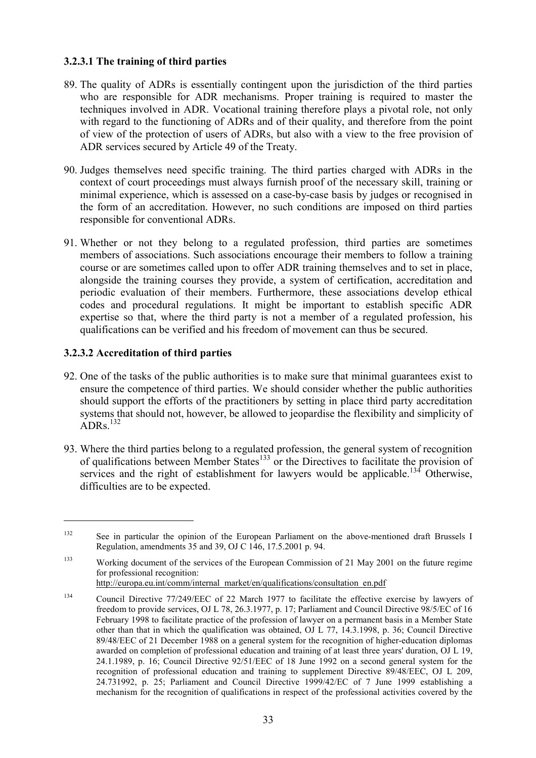## **3.2.3.1 The training of third parties**

- 89. The quality of ADRs is essentially contingent upon the jurisdiction of the third parties who are responsible for ADR mechanisms. Proper training is required to master the techniques involved in ADR. Vocational training therefore plays a pivotal role, not only with regard to the functioning of ADRs and of their quality, and therefore from the point of view of the protection of users of ADRs, but also with a view to the free provision of ADR services secured by Article 49 of the Treaty.
- 90. Judges themselves need specific training. The third parties charged with ADRs in the context of court proceedings must always furnish proof of the necessary skill, training or minimal experience, which is assessed on a case-by-case basis by judges or recognised in the form of an accreditation. However, no such conditions are imposed on third parties responsible for conventional ADRs.
- 91. Whether or not they belong to a regulated profession, third parties are sometimes members of associations. Such associations encourage their members to follow a training course or are sometimes called upon to offer ADR training themselves and to set in place, alongside the training courses they provide, a system of certification, accreditation and periodic evaluation of their members. Furthermore, these associations develop ethical codes and procedural regulations. It might be important to establish specific ADR expertise so that, where the third party is not a member of a regulated profession, his qualifications can be verified and his freedom of movement can thus be secured.

#### **3.2.3.2 Accreditation of third parties**

- 92. One of the tasks of the public authorities is to make sure that minimal guarantees exist to ensure the competence of third parties. We should consider whether the public authorities should support the efforts of the practitioners by setting in place third party accreditation systems that should not, however, be allowed to jeopardise the flexibility and simplicity of  $ADRs.$ <sup>132</sup>
- 93. Where the third parties belong to a regulated profession, the general system of recognition of qualifications between Member States<sup>133</sup> or the Directives to facilitate the provision of services and the right of establishment for lawyers would be applicable.<sup>134</sup> Otherwise, difficulties are to be expected.

<sup>&</sup>lt;sup>132</sup> See in particular the opinion of the European Parliament on the above-mentioned draft Brussels I Regulation, amendments 35 and 39, OJ C 146, 17.5.2001 p. 94.

<sup>&</sup>lt;sup>133</sup> Working document of the services of the European Commission of 21 May 2001 on the future regime for professional recognition:

http://europa.eu.int/comm/internal\_market/en/qualifications/consultation\_en.pdf

<sup>&</sup>lt;sup>134</sup> Council Directive 77/249/EEC of 22 March 1977 to facilitate the effective exercise by lawyers of freedom to provide services, OJ L 78, 26.3.1977, p. 17; Parliament and Council Directive 98/5/EC of 16 February 1998 to facilitate practice of the profession of lawyer on a permanent basis in a Member State other than that in which the qualification was obtained, OJ L 77, 14.3.1998, p. 36; Council Directive 89/48/EEC of 21 December 1988 on a general system for the recognition of higher-education diplomas awarded on completion of professional education and training of at least three years' duration, OJ L 19, 24.1.1989, p. 16; Council Directive 92/51/EEC of 18 June 1992 on a second general system for the recognition of professional education and training to supplement Directive 89/48/EEC, OJ L 209, 24.731992, p. 25; Parliament and Council Directive 1999/42/EC of 7 June 1999 establishing a mechanism for the recognition of qualifications in respect of the professional activities covered by the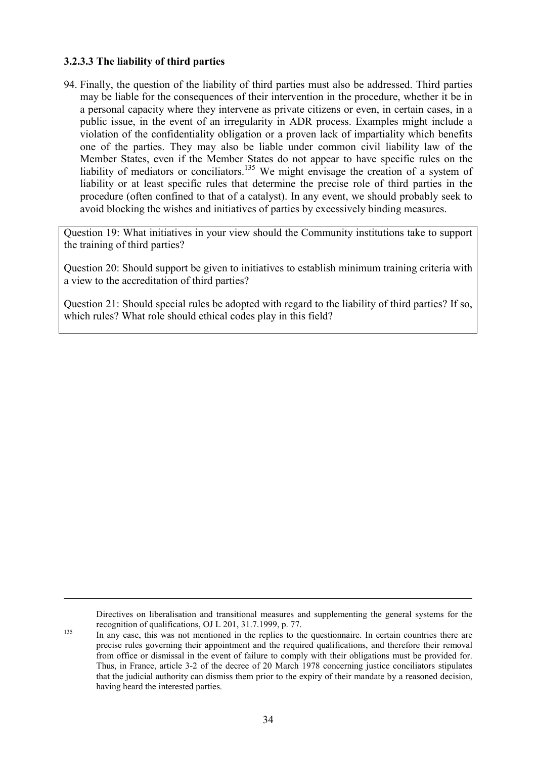#### **3.2.3.3 The liability of third parties**

 $\overline{a}$ 

94. Finally, the question of the liability of third parties must also be addressed. Third parties may be liable for the consequences of their intervention in the procedure, whether it be in a personal capacity where they intervene as private citizens or even, in certain cases, in a public issue, in the event of an irregularity in ADR process. Examples might include a violation of the confidentiality obligation or a proven lack of impartiality which benefits one of the parties. They may also be liable under common civil liability law of the Member States, even if the Member States do not appear to have specific rules on the liability of mediators or conciliators.<sup>135</sup> We might envisage the creation of a system of liability or at least specific rules that determine the precise role of third parties in the procedure (often confined to that of a catalyst). In any event, we should probably seek to avoid blocking the wishes and initiatives of parties by excessively binding measures.

Question 19: What initiatives in your view should the Community institutions take to support the training of third parties?

Question 20: Should support be given to initiatives to establish minimum training criteria with a view to the accreditation of third parties?

Question 21: Should special rules be adopted with regard to the liability of third parties? If so, which rules? What role should ethical codes play in this field?

Directives on liberalisation and transitional measures and supplementing the general systems for the

recognition of qualifications, OJ L 201, 31.7.1999, p. 77.<br>In any case, this was not mentioned in the replies to the questionnaire. In certain countries there are precise rules governing their appointment and the required qualifications, and therefore their removal from office or dismissal in the event of failure to comply with their obligations must be provided for. Thus, in France, article 3-2 of the decree of 20 March 1978 concerning justice conciliators stipulates that the judicial authority can dismiss them prior to the expiry of their mandate by a reasoned decision, having heard the interested parties.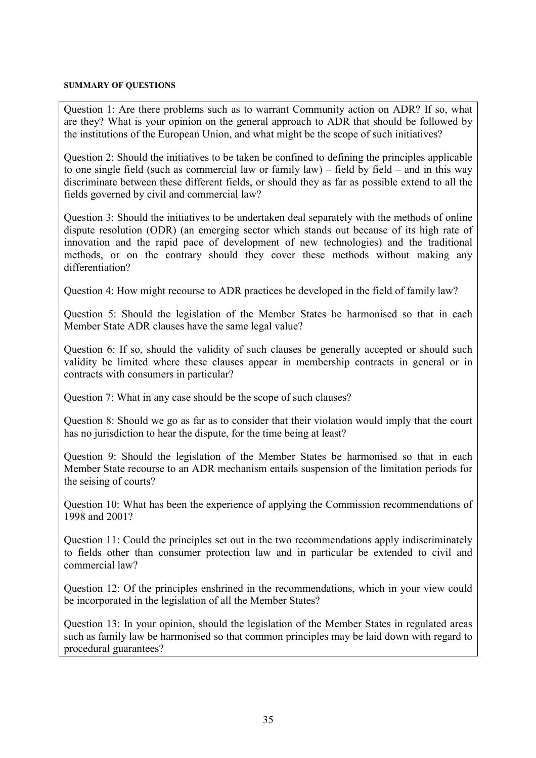#### **SUMMARY OF QUESTIONS**

Question 1: Are there problems such as to warrant Community action on ADR? If so, what are they? What is your opinion on the general approach to ADR that should be followed by the institutions of the European Union, and what might be the scope of such initiatives?

Question 2: Should the initiatives to be taken be confined to defining the principles applicable to one single field (such as commercial law or family law) – field by field – and in this way discriminate between these different fields, or should they as far as possible extend to all the fields governed by civil and commercial law?

Question 3: Should the initiatives to be undertaken deal separately with the methods of online dispute resolution (ODR) (an emerging sector which stands out because of its high rate of innovation and the rapid pace of development of new technologies) and the traditional methods, or on the contrary should they cover these methods without making any differentiation?

Question 4: How might recourse to ADR practices be developed in the field of family law?

Question 5: Should the legislation of the Member States be harmonised so that in each Member State ADR clauses have the same legal value?

Question 6: If so, should the validity of such clauses be generally accepted or should such validity be limited where these clauses appear in membership contracts in general or in contracts with consumers in particular?

Question 7: What in any case should be the scope of such clauses?

Question 8: Should we go as far as to consider that their violation would imply that the court has no jurisdiction to hear the dispute, for the time being at least?

Question 9: Should the legislation of the Member States be harmonised so that in each Member State recourse to an ADR mechanism entails suspension of the limitation periods for the seising of courts?

Question 10: What has been the experience of applying the Commission recommendations of 1998 and 2001?

Question 11: Could the principles set out in the two recommendations apply indiscriminately to fields other than consumer protection law and in particular be extended to civil and commercial law?

Question 12: Of the principles enshrined in the recommendations, which in your view could be incorporated in the legislation of all the Member States?

Question 13: In your opinion, should the legislation of the Member States in regulated areas such as family law be harmonised so that common principles may be laid down with regard to procedural guarantees?